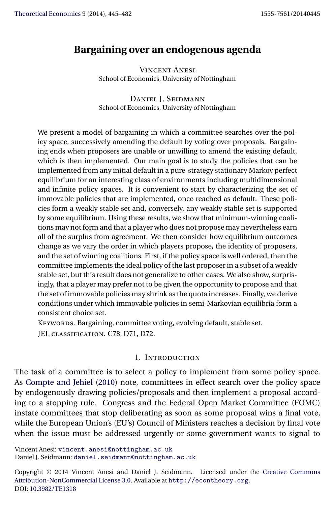# <span id="page-0-0"></span>**Bargaining over an endogenous agenda**

Vincent Anesi School of Economics, University of Nottingham

Daniel J. Seidmann School of Economics, University of Nottingham

We present a model of bargaining in which a committee searches over the policy space, successively amending the default by voting over proposals. Bargaining ends when proposers are unable or unwilling to amend the existing default, which is then implemented. Our main goal is to study the policies that can be implemented from any initial default in a pure-strategy stationary Markov perfect equilibrium for an interesting class of environments including multidimensional and infinite policy spaces. It is convenient to start by characterizing the set of immovable policies that are implemented, once reached as default. These policies form a weakly stable set and, conversely, any weakly stable set is supported by some equilibrium. Using these results, we show that minimum-winning coalitions may not form and that a player who does not propose may nevertheless earn all of the surplus from agreement. We then consider how equilibrium outcomes change as we vary the order in which players propose, the identity of proposers, and the set of winning coalitions. First, if the policy space is well ordered, then the committee implements the ideal policy of the last proposer in a subset of a weakly stable set, but this result does not generalize to other cases. We also show, surprisingly, that a player may prefer not to be given the opportunity to propose and that the set of immovable policies may shrink as the quota increases. Finally, we derive conditions under which immovable policies in semi-Markovian equilibria form a consistent choice set.

KEYWORDS. Bargaining, committee voting, evolving default, stable set.

JEL classification. C78, D71, D72.

## 1. Introduction

The task of a committee is to select a policy to implement from some policy space. As [Compte and Jehiel](#page-36-0) [\(2010\)](#page-36-0) note, committees in effect search over the policy space by endogenously drawing policies/proposals and then implement a proposal according to a stopping rule. Congress and the Federal Open Market Committee (FOMC) instate committees that stop deliberating as soon as some proposal wins a final vote, while the European Union's (EU's) Council of Ministers reaches a decision by final vote when the issue must be addressed urgently or some government wants to signal to

Vincent Anesi: [vincent.anesi@nottingham.ac.uk](mailto:vincent.anesi@nottingham.ac.uk) Daniel J. Seidmann: [daniel.seidmann@nottingham.ac.uk](mailto:daniel.seidmann@nottingham.ac.uk)

Copyright © 2014 Vincent Anesi and Daniel J. Seidmann. Licensed under the [Creative Commons](http://creativecommons.org/licenses/by-nc/3.0/) [Attribution-NonCommercial License 3.0](http://creativecommons.org/licenses/by-nc/3.0/). Available at [http://econtheory.org](http://econtheory.org/). DOI: [10.3982/TE1318](http://dx.doi.org/10.3982/TE1318)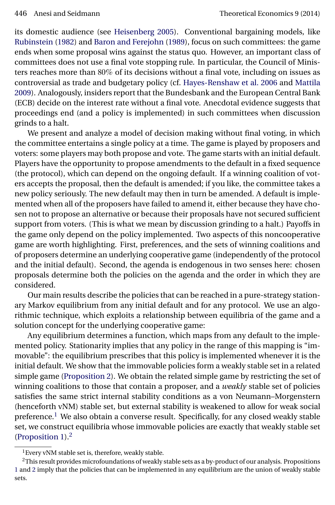<span id="page-1-0"></span>its domestic audience (see [Heisenberg 2005\)](#page-37-0). Conventional bargaining models, like [Rubinstein](#page-37-0) [\(1982\)](#page-37-0) and [Baron and Ferejohn](#page-35-0) [\(1989\)](#page-35-0), focus on such committees: the game ends when some proposal wins against the status quo. However, an important class of committees does not use a final vote stopping rule. In particular, the Council of Ministers reaches more than 80% of its decisions without a final vote, including on issues as controversial as trade and budgetary policy (cf. [Hayes-Renshaw et al. 2006](#page-36-0) and [Mattila](#page-37-0) [2009\)](#page-37-0). Analogously, insiders report that the Bundesbank and the European Central Bank (ECB) decide on the interest rate without a final vote. Anecdotal evidence suggests that proceedings end (and a policy is implemented) in such committees when discussion grinds to a halt.

We present and analyze a model of decision making without final voting, in which the committee entertains a single policy at a time. The game is played by proposers and voters: some players may both propose and vote. The game starts with an initial default. Players have the opportunity to propose amendments to the default in a fixed sequence (the protocol), which can depend on the ongoing default. If a winning coalition of voters accepts the proposal, then the default is amended; if you like, the committee takes a new policy seriously. The new default may then in turn be amended. A default is implemented when all of the proposers have failed to amend it, either because they have chosen not to propose an alternative or because their proposals have not secured sufficient support from voters. (This is what we mean by discussion grinding to a halt.) Payoffs in the game only depend on the policy implemented. Two aspects of this noncooperative game are worth highlighting. First, preferences, and the sets of winning coalitions and of proposers determine an underlying cooperative game (independently of the protocol and the initial default). Second, the agenda is endogenous in two senses here: chosen proposals determine both the policies on the agenda and the order in which they are considered.

Our main results describe the policies that can be reached in a pure-strategy stationary Markov equilibrium from any initial default and for any protocol. We use an algorithmic technique, which exploits a relationship between equilibria of the game and a solution concept for the underlying cooperative game:

Any equilibrium determines a function, which maps from any default to the implemented policy. Stationarity implies that any policy in the range of this mapping is "immovable": the equilibrium prescribes that this policy is implemented whenever it is the initial default. We show that the immovable policies form a weakly stable set in a related simple game [\(Proposition 2\)](#page-11-0). We obtain the related simple game by restricting the set of winning coalitions to those that contain a proposer, and a *weakly* stable set of policies satisfies the same strict internal stability conditions as a von Neumann–Morgenstern (henceforth vNM) stable set, but external stability is weakened to allow for weak social preference.<sup>1</sup> We also obtain a converse result. Specifically, for any closed weakly stable set, we construct equilibria whose immovable policies are exactly that weakly stable set [\(Proposition 1\)](#page-9-0).2

<sup>1</sup>Every vNM stable set is, therefore, weakly stable.

<sup>&</sup>lt;sup>2</sup>This result provides microfoundations of weakly stable sets as a by-product of our analysis. Propositions [1](#page-9-0) and [2](#page-11-0) imply that the policies that can be implemented in any equilibrium are the union of weakly stable sets.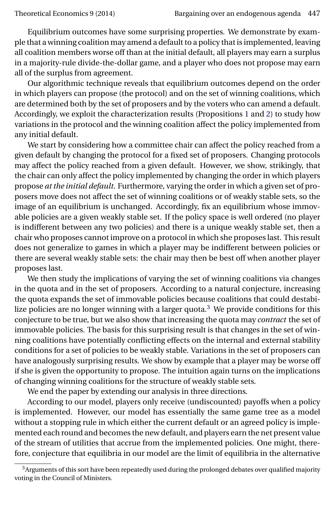Equilibrium outcomes have some surprising properties. We demonstrate by example that a winning coalition may amend a default to a policy that is implemented, leaving all coalition members worse off than at the initial default, all players may earn a surplus in a majority-rule divide-the-dollar game, and a player who does not propose may earn all of the surplus from agreement.

Our algorithmic technique reveals that equilibrium outcomes depend on the order in which players can propose (the protocol) and on the set of winning coalitions, which are determined both by the set of proposers and by the voters who can amend a default. Accordingly, we exploit the characterization results (Propositions [1](#page-9-0) and [2\)](#page-11-0) to study how variations in the protocol and the winning coalition affect the policy implemented from any initial default.

We start by considering how a committee chair can affect the policy reached from a given default by changing the protocol for a fixed set of proposers. Changing protocols may affect the policy reached from a given default. However, we show, strikingly, that the chair can only affect the policy implemented by changing the order in which players propose *at the initial default*. Furthermore, varying the order in which a given set of proposers move does not affect the set of winning coalitions or of weakly stable sets, so the image of an equilibrium is unchanged. Accordingly, fix an equilibrium whose immovable policies are a given weakly stable set. If the policy space is well ordered (no player is indifferent between any two policies) and there is a unique weakly stable set, then a chair who proposes cannot improve on a protocol in which she proposes last. This result does not generalize to games in which a player may be indifferent between policies or there are several weakly stable sets: the chair may then be best off when another player proposes last.

We then study the implications of varying the set of winning coalitions via changes in the quota and in the set of proposers. According to a natural conjecture, increasing the quota expands the set of immovable policies because coalitions that could destabilize policies are no longer winning with a larger quota. $3$  We provide conditions for this conjecture to be true, but we also show that increasing the quota may *contract* the set of immovable policies. The basis for this surprising result is that changes in the set of winning coalitions have potentially conflicting effects on the internal and external stability conditions for a set of policies to be weakly stable. Variations in the set of proposers can have analogously surprising results. We show by example that a player may be worse off if she is given the opportunity to propose. The intuition again turns on the implications of changing winning coalitions for the structure of weakly stable sets.

We end the paper by extending our analysis in three directions.

According to our model, players only receive (undiscounted) payoffs when a policy is implemented. However, our model has essentially the same game tree as a model without a stopping rule in which either the current default or an agreed policy is implemented each round and becomes the new default, and players earn the net present value of the stream of utilities that accrue from the implemented policies. One might, therefore, conjecture that equilibria in our model are the limit of equilibria in the alternative

<sup>3</sup>Arguments of this sort have been repeatedly used during the prolonged debates over qualified majority voting in the Council of Ministers.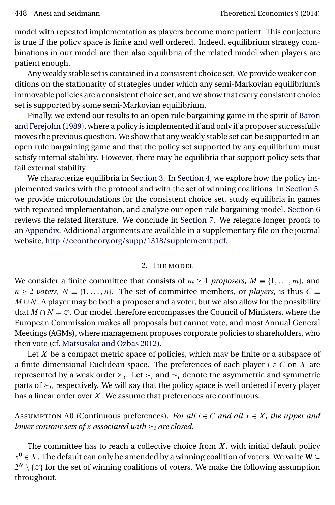<span id="page-3-0"></span>model with repeated implementation as players become more patient. This conjecture is true if the policy space is finite and well ordered. Indeed, equilibrium strategy combinations in our model are then also equilibria of the related model when players are patient enough.

Any weakly stable set is contained in a consistent choice set. We provide weaker conditions on the stationarity of strategies under which any semi-Markovian equilibrium's immovable policies are a consistent choice set, and we show that every consistent choice set is supported by some semi-Markovian equilibrium.

Finally, we extend our results to an open rule bargaining game in the spirit of [Baron](#page-35-0) [and Ferejohn](#page-35-0) [\(1989\)](#page-35-0), where a policy is implemented if and only if a proposer successfully moves the previous question. We show that any weakly stable set can be supported in an open rule bargaining game and that the policy set supported by any equilibrium must satisfy internal stability. However, there may be equilibria that support policy sets that fail external stability.

We characterize equilibria in [Section 3.](#page-6-0) In [Section 4,](#page-14-0) we explore how the policy implemented varies with the protocol and with the set of winning coalitions. In [Section 5,](#page-20-0) we provide microfoundations for the consistent choice set, study equilibria in games with repeated implementation, and analyze our open rule bargaining model. [Section 6](#page-25-0) reviews the related literature. We conclude in [Section 7.](#page-30-0) We relegate longer proofs to an [Appendix.](#page-30-0) Additional arguments are available in a supplementary file on the journal website, <http://econtheory.org/supp/1318/supplememt.pdf>.

### 2. The model

We consider a finite committee that consists of  $m \ge 1$  *proposers*,  $M \equiv \{1, \ldots, m\}$ , and  $n \geq 2$  *voters*,  $N \equiv \{1, \ldots, n\}$ . The set of committee members, or *players*, is thus  $C \equiv$  $M \cup N$ . A player may be both a proposer and a voter, but we also allow for the possibility that  $M \cap N = \emptyset$ . Our model therefore encompasses the Council of Ministers, where the European Commission makes all proposals but cannot vote, and most Annual General Meetings (AGMs), where management proposes corporate policies to shareholders, who then vote (cf. [Matsusaka and Ozbas 2012\)](#page-37-0).

Let  $X$  be a compact metric space of policies, which may be finite or a subspace of a finite-dimensional Euclidean space. The preferences of each player  $i \in C$  on X are represented by a weak order  $\geq$ <sub>i</sub>. Let  $\succ$ <sub>i</sub> and  $\sim$ <sub>i</sub> denote the asymmetric and symmetric parts of  $\geq$  *i*, respectively. We will say that the policy space is well ordered if every player has a linear order over  $X$ . We assume that preferences are continuous.

Assumption A0 (Continuous preferences). *For all*  $i \in C$  *and all*  $x \in X$ *, the upper and lower contour sets of x associated with*  $\geq$  *are closed.* 

The committee has to reach a collective choice from  $X$ , with initial default policy  $x^0 \in X$ . The default can only be amended by a winning coalition of voters. We write  $\mathbf{W} \subseteq$  $2^N \setminus \{\emptyset\}$  for the set of winning coalitions of voters. We make the following assumption throughout.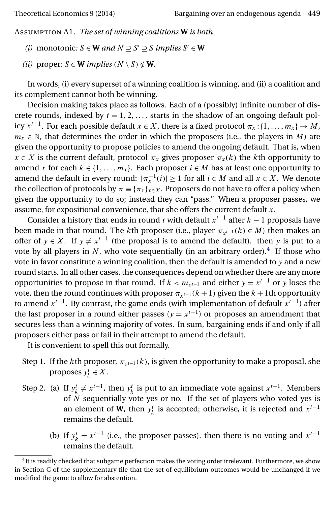Assumption A1. *The set of winning coalitions* **W** *is both*

- *(i)* monotonic: *S* ∈ *W and*  $N$  ⊃ *S'* ⊃ *S implies*  $S' \in W$
- *(ii)* proper:  $S \in \mathbf{W}$  *implies*  $(N \setminus S) \notin \mathbf{W}$ *.*

In words, (i) every superset of a winning coalition is winning, and (ii) a coalition and its complement cannot both be winning.

Decision making takes place as follows. Each of a (possibly) infinite number of discrete rounds, indexed by  $t = 1, 2, \ldots$ , starts in the shadow of an ongoing default policy  $x^{t-1}$ . For each possible default  $x \in X$ , there is a fixed protocol  $\pi_x: \{1, \ldots, m_x\} \to M$ ,  $m_x \in \mathbb{N}$ , that determines the order in which the proposers (i.e., the players in M) are given the opportunity to propose policies to amend the ongoing default. That is, when  $x \in X$  is the current default, protocol  $\pi_x$  gives proposer  $\pi_x(k)$  the kth opportunity to amend x for each  $k \in \{1, ..., m_x\}$ . Each proposer  $i \in M$  has at least one opportunity to amend the default in every round:  $|\pi_x^{-1}(i)| \ge 1$  for all  $i \in M$  and all  $x \in X$ . We denote the collection of protocols by  $\pi \equiv {\{\pi_x\}_{x \in X}}$ . Proposers do not have to offer a policy when given the opportunity to do so; instead they can "pass." When a proposer passes, we assume, for expositional convenience, that she offers the current default  $x$ .

Consider a history that ends in round t with default  $x^{t-1}$  after  $k-1$  proposals have been made in that round. The kth proposer (i.e., player  $\pi_{x^{t-1}}(k) \in M$ ) then makes an offer of  $y \in X$ . If  $y \neq x^{t-1}$  (the proposal is to amend the default). then y is put to a vote by all players in  $N$ , who vote sequentially (in an arbitrary order).<sup>4</sup> If those who vote in favor constitute a winning coalition, then the default is amended to y and a new round starts. In all other cases, the consequences depend on whether there are any more opportunities to propose in that round. If  $k < m_{x^{t-1}}$  and either  $y = x^{t-1}$  or y loses the vote, then the round continues with proposer  $\pi_{x^{t-1}}(k+1)$  given the  $k+1$ th opportunity to amend  $x^{t-1}$ . By contrast, the game ends (with implementation of default  $x^{t-1}$ ) after the last proposer in a round either passes ( $y = x^{t-1}$ ) or proposes an amendment that secures less than a winning majority of votes. In sum, bargaining ends if and only if all proposers either pass or fail in their attempt to amend the default.

It is convenient to spell this out formally.

- Step 1. If the kth proposer,  $\pi_{x^{t-1}}(k)$ , is given the opportunity to make a proposal, she proposes  $y_k^t \in X$ .
- Step 2. (a) If  $y_k^t \neq x^{t-1}$ , then  $y_k^t$  is put to an immediate vote against  $x^{t-1}$ . Members of  $N$  sequentially vote yes or no. If the set of players who voted yes is an element of **W**, then  $y_k^t$  is accepted; otherwise, it is rejected and  $x^{t-1}$ remains the default.
	- (b) If  $y_k^t = x^{t-1}$  (i.e., the proposer passes), then there is no voting and  $x^{t-1}$ remains the default.

 $4$ It is readily checked that subgame perfection makes the voting order irrelevant. Furthermore, we show in Section C of the supplementary file that the set of equilibrium outcomes would be unchanged if we modified the game to allow for abstention.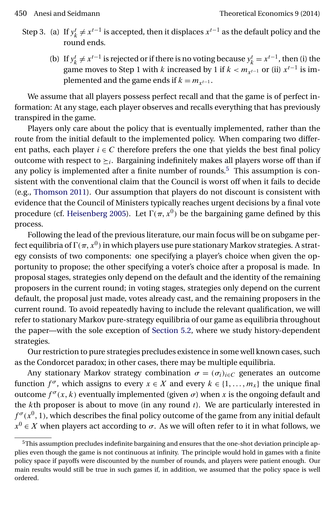- <span id="page-5-0"></span>Step 3. (a) If  $y_k^t \neq x^{t-1}$  is accepted, then it displaces  $x^{t-1}$  as the default policy and the round ends.
	- (b) If  $y_k^t \neq x^{t-1}$  is rejected or if there is no voting because  $y_k^t = x^{t-1}$ , then (i) the game moves to Step 1 with k increased by 1 if  $k < m<sub>r-1</sub>$  or (ii)  $x<sup>t-1</sup>$  is implemented and the game ends if  $k = m_{x^{t-1}}$ .

We assume that all players possess perfect recall and that the game is of perfect information: At any stage, each player observes and recalls everything that has previously transpired in the game.

Players only care about the policy that is eventually implemented, rather than the route from the initial default to the implemented policy. When comparing two different paths, each player  $i \in C$  therefore prefers the one that yields the best final policy outcome with respect to  $\epsilon_i$ . Bargaining indefinitely makes all players worse off than if any policy is implemented after a finite number of rounds.<sup>5</sup> This assumption is consistent with the conventional claim that the Council is worst off when it fails to decide (e.g., [Thomson 2011\)](#page-37-0). Our assumption that players do not discount is consistent with evidence that the Council of Ministers typically reaches urgent decisions by a final vote procedure (cf. [Heisenberg 2005\)](#page-37-0). Let  $\Gamma(\pi, x^0)$  be the bargaining game defined by this process.

Following the lead of the previous literature, our main focus will be on subgame perfect equilibria of  $\Gamma(\pi,x^0)$  in which players use pure stationary Markov strategies. A strategy consists of two components: one specifying a player's choice when given the opportunity to propose; the other specifying a voter's choice after a proposal is made. In proposal stages, strategies only depend on the default and the identity of the remaining proposers in the current round; in voting stages, strategies only depend on the current default, the proposal just made, votes already cast, and the remaining proposers in the current round. To avoid repeatedly having to include the relevant qualification, we will refer to stationary Markov pure-strategy equilibria of our game as equilibria throughout the paper—with the sole exception of [Section 5.2,](#page-22-0) where we study history-dependent strategies.

Our restriction to pure strategies precludes existence in some well known cases, such as the Condorcet paradox; in other cases, there may be multiple equilibria.

Any stationary Markov strategy combination  $\sigma = (\sigma_i)_{i \in C}$  generates an outcome function  $f^{\sigma}$ , which assigns to every  $x \in X$  and every  $k \in \{1, ..., m_x\}$  the unique final outcome  $f^{\sigma}(x, k)$  eventually implemented (given  $\sigma$ ) when x is the ongoing default and the kth proposer is about to move (in any round  $t$ ). We are particularly interested in  $f^\sigma(x^0,1)$ , which describes the final policy outcome of the game from any initial default  $x^0 \in X$  when players act according to  $\sigma$ . As we will often refer to it in what follows, we

<sup>5</sup>This assumption precludes indefinite bargaining and ensures that the one-shot deviation principle applies even though the game is not continuous at infinity. The principle would hold in games with a finite policy space if payoffs were discounted by the number of rounds, and players were patient enough. Our main results would still be true in such games if, in addition, we assumed that the policy space is well ordered.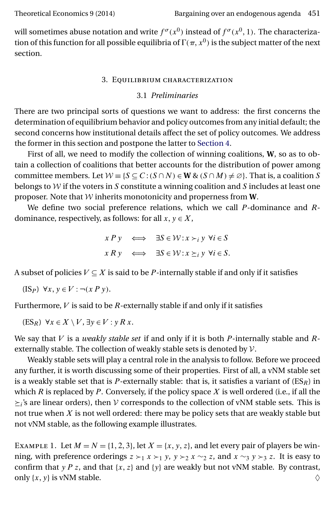<span id="page-6-0"></span>will sometimes abuse notation and write  $f^\sigma(x^0)$  instead of  $f^\sigma(x^0,1)$ . The characterization of this function for all possible equilibria of  $\Gamma(\pi,x^0)$  is the subject matter of the next section.

# 3. Equilibrium characterization

# 3.1 *Preliminaries*

There are two principal sorts of questions we want to address: the first concerns the determination of equilibrium behavior and policy outcomes from any initial default; the second concerns how institutional details affect the set of policy outcomes. We address the former in this section and postpone the latter to [Section 4.](#page-14-0)

First of all, we need to modify the collection of winning coalitions, **W**, so as to obtain a collection of coalitions that better accounts for the distribution of power among committee members. Let  $W = \{S \subseteq C : (S \cap N) \in W \& (S \cap M) \neq \emptyset\}$ . That is, a coalition S belongs to  $W$  if the voters in S constitute a winning coalition and S includes at least one proposer. Note that W inherits monotonicity and properness from **W**.

We define two social preference relations, which we call  $P$ -dominance and  $R$ dominance, respectively, as follows: for all  $x, y \in X$ ,

$$
\begin{array}{rcl}\nx \, P \, y & \Longleftrightarrow & \exists S \in \mathcal{W} : x \succ_i y \ \forall i \in S \\
x \, R \, y & \Longleftrightarrow & \exists S \in \mathcal{W} : x \succeq_i y \ \forall i \in S.\n\end{array}
$$

A subset of policies  $V \subseteq X$  is said to be P-internally stable if and only if it satisfies

$$
(\text{IS}_P) \ \forall x, y \in V : \neg(x \, P \, y).
$$

Furthermore,  $V$  is said to be  $R$ -externally stable if and only if it satisfies

 $(ES_R) \ \forall x \in X \setminus V$ ,  $\exists y \in V : y R x$ .

We say that V is a *weakly stable set* if and only if it is both P-internally stable and Rexternally stable. The collection of weakly stable sets is denoted by  $V$ .

Weakly stable sets will play a central role in the analysis to follow. Before we proceed any further, it is worth discussing some of their properties. First of all, a vNM stable set is a weakly stable set that is P-externally stable: that is, it satisfies a variant of  $(ES_R)$  in which R is replaced by P. Conversely, if the policy space  $X$  is well ordered (i.e., if all the  $\geq i$ 's are linear orders), then V corresponds to the collection of vNM stable sets. This is not true when  $X$  is not well ordered: there may be policy sets that are weakly stable but not vNM stable, as the following example illustrates.

EXAMPLE 1. Let  $M = N = \{1, 2, 3\}$ , let  $X = \{x, y, z\}$ , and let every pair of players be winning, with preference orderings  $z \succ_1 x \succ_1 y$ ,  $y \succ_2 x \sim_2 z$ , and  $x \sim_3 y \succ_3 z$ . It is easy to confirm that  $y P z$ , and that  $\{x, z\}$  and  $\{y\}$  are weakly but not vNM stable. By contrast, only  $\{x, y\}$  is vNM stable.  $\Diamond$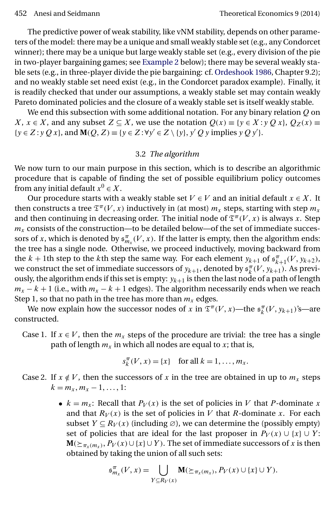<span id="page-7-0"></span>The predictive power of weak stability, like vNM stability, depends on other parameters of the model: there may be a unique and small weakly stable set (e.g., any Condorcet winner); there may be a unique but large weakly stable set (e.g., every division of the pie in two-player bargaining games; see [Example 2](#page-12-0) below); there may be several weakly stable sets (e.g., in three-player divide the pie bargaining: cf. [Ordeshook 1986,](#page-37-0) Chapter 9.2); and no weakly stable set need exist (e.g., in the Condorcet paradox example). Finally, it is readily checked that under our assumptions, a weakly stable set may contain weakly Pareto dominated policies and the closure of a weakly stable set is itself weakly stable.

We end this subsection with some additional notation. For any binary relation  $Q$  on X,  $x \in X$ , and any subset  $Z \subseteq X$ , we use the notation  $Q(x) \equiv \{y \in X : y \in X, Q_{Z}(x) \equiv$  $\{y \in Z : y \mathcal{Q} x\}$ , and  $\mathbf{M}(Q, Z) \equiv \{y \in Z : \forall y' \in Z \setminus \{y\}, y' \mathcal{Q} y$  implies  $y \mathcal{Q} y'\}.$ 

## 3.2 *The algorithm*

We now turn to our main purpose in this section, which is to describe an algorithmic procedure that is capable of finding the set of possible equilibrium policy outcomes from any initial default  $x^0 \in X$ .

Our procedure starts with a weakly stable set  $V \in V$  and an initial default  $x \in X$ . It then constructs a tree  $\mathfrak{T}^{\pi}(V, x)$  inductively in (at most)  $m_x$  steps, starting with step  $m_x$ and then continuing in decreasing order. The initial node of  $\mathfrak{T}^{\pi}(V, x)$  is always x. Step  $m<sub>x</sub>$  consists of the construction—to be detailed below—of the set of immediate successors of x, which is denoted by  $\mathfrak{s}_{m_x}^{\pi}(V, x)$ . If the latter is empty, then the algorithm ends: the tree has a single node. Otherwise, we proceed inductively, moving backward from the  $k + 1$ th step to the k<sup>th</sup> step the same way. For each element  $y_{k+1}$  of  $\mathfrak{s}_{k+1}^{\pi}(V, y_{k+2})$ , we construct the set of immediate successors of  $y_{k+1}$ , denoted by  $\mathfrak{s}_k^{\pi}(V, y_{k+1})$ . As previously, the algorithm ends if this set is empty:  $y_{k+1}$  is then the last node of a path of length  $m_x - k + 1$  (i.e., with  $m_x - k + 1$  edges). The algorithm necessarily ends when we reach Step 1, so that no path in the tree has more than  $m<sub>x</sub>$  edges.

We now explain how the successor nodes of x in  $\mathfrak{T}^{\pi}(V, x)$ —the  $\mathfrak{s}_{k}^{\pi}(V, y_{k+1})$ 's—are constructed.

Case 1. If  $x \in V$ , then the  $m<sub>x</sub>$  steps of the procedure are trivial: the tree has a single path of length  $m<sub>x</sub>$  in which all nodes are equal to x; that is,

$$
s_k^{\pi}(V, x) = \{x\}
$$
 for all  $k = 1, ..., m_x$ .

- Case 2. If  $x \notin V$ , then the successors of x in the tree are obtained in up to  $m_x$  steps  $k = m_x, m_x - 1, \ldots, 1$ :
	- $k = m_x$ : Recall that  $P_V(x)$  is the set of policies in V that P-dominate x and that  $R_V(x)$  is the set of policies in V that R-dominate x. For each subset  $Y \subseteq R_V(x)$  (including  $\emptyset$ ), we can determine the (possibly empty) set of policies that are ideal for the last proposer in  $P_V(x) \cup \{x\} \cup Y$ :  $\mathbf{M}(\geq_{\pi_x(m_x)}, P_V(x) \cup \{x\} \cup Y)$ . The set of immediate successors of x is then obtained by taking the union of all such sets:

$$
\mathfrak{s}_{m_x}^{\pi}(V,x) = \bigcup_{Y \subseteq R_V(x)} \mathbf{M}(\succeq_{\pi_x(m_x)}, P_V(x) \cup \{x\} \cup Y).
$$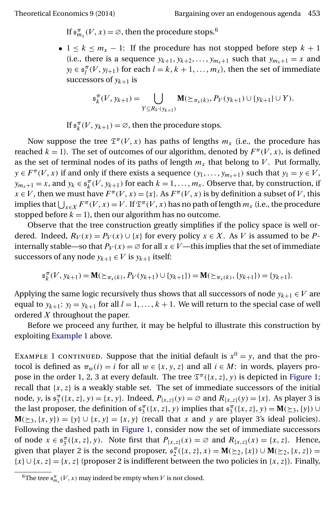If  $\mathfrak{s}_{m_x}^{\pi}(V,x) = \varnothing$ , then the procedure stops.<sup>6</sup>

•  $1 \leq k \leq m_x - 1$ : If the procedure has not stopped before step  $k + 1$ (i.e., there is a sequence  $y_{k+1}, y_{k+2}, \ldots, y_{m_x+1}$  such that  $y_{m_x+1} = x$  and  $y_l \in \mathfrak{s}_l^{\pi}(V, y_{l+1})$  for each  $l = k, k + 1, ..., m_x$ , then the set of immediate successors of  $y_{k+1}$  is

$$
\mathfrak{s}_k^{\pi}(V, y_{k+1}) = \bigcup_{Y \subseteq R_V(y_{k+1})} \mathbf{M}(\succeq_{\pi_x(k)}, P_V(y_{k+1}) \cup \{y_{k+1}\} \cup Y).
$$

If  $\mathfrak{s}_k^{\pi}(V, y_{k+1}) = \varnothing$ , then the procedure stops.

Now suppose the tree  $\mathfrak{T}^{\pi}(V, x)$  has paths of lengths  $m_x$  (i.e., the procedure has reached  $k = 1$ ). The set of outcomes of our algorithm, denoted by  $F^{\pi}(V, x)$ , is defined as the set of terminal nodes of its paths of length  $m<sub>x</sub>$  that belong to V. Put formally,  $y \in F^{\pi}(V, x)$  if and only if there exists a sequence  $(y_1, \ldots, y_{m_x+1})$  such that  $y_1 = y \in V$ ,  $y_{m_x+1} = x$ , and  $y_k \in \mathfrak{s}_k^{\pi}(V, y_{k+1})$  for each  $k = 1, ..., m_x$ . Observe that, by construction, if  $x \in V$ , then we must have  $F^{\pi}(V, x) = \{x\}$ . As  $F^{\pi}(V, x)$  is by definition a subset of V, this implies that  $\bigcup_{x\in X} F^{\pi}(V, x) = V$ . If  $\mathfrak{T}^{\pi}(V, x)$  has no path of length  $m_x$  (i.e., the procedure stopped before  $k = 1$ , then our algorithm has no outcome.

Observe that the tree construction greatly simplifies if the policy space is well ordered. Indeed,  $R_V(x) = P_V(x) \cup \{x\}$  for every policy  $x \in X$ . As V is assumed to be Pinternally stable—so that  $P_V(x) = \emptyset$  for all  $x \in V$ —this implies that the set of immediate successors of any node  $y_{k+1} \in V$  is  $y_{k+1}$  itself:

$$
\mathfrak{s}_{k}^{\pi}(V, y_{k+1}) = \mathbf{M}(\geq_{\pi_{x}(k)}, P_{V}(y_{k+1}) \cup \{y_{k+1}\}) = \mathbf{M}(\geq_{\pi_{x}(k)}, \{y_{k+1}\}) = \{y_{k+1}\}.
$$

Applying the same logic recursively thus shows that all successors of node  $y_{k+1} \in V$  are equal to  $y_{k+1}$ :  $y_l = y_{k+1}$  for all  $l = 1, ..., k + 1$ . We will return to the special case of well ordered  $X$  throughout the paper.

Before we proceed any further, it may be helpful to illustrate this construction by exploiting [Example 1](#page-6-0) above.

EXAMPLE 1 CONTINUED. Suppose that the initial default is  $x^0 = y$ , and that the protocol is defined as  $\pi_w(i) = i$  for all  $w \in \{x, y, z\}$  and all  $i \in M$ : in words, players propose in the order 1, 2, 3 at every default. The tree  $\mathfrak{T}^{\pi}(\{x, z\}, y)$  is depicted in [Figure 1;](#page-9-0) recall that  $\{x, z\}$  is a weakly stable set. The set of immediate successors of the initial node, y, is  $\mathfrak{s}_{3}^{\pi}(\{x, z\}, y) = \{x, y\}$ . Indeed,  $P_{\{x, z\}}(y) = \emptyset$  and  $R_{\{x, z\}}(y) = \{x\}$ . As player 3 is the last proposer, the definition of  $\mathfrak{s}_3^{\pi}(\{x, z\}, y)$  implies that  $\mathfrak{s}_3^{\pi}(\{x, z\}, y) = \mathbf{M}(\succeq_3, \{y\}) \cup$  $M(\geq_3, \{x, y\}) = \{y\} \cup \{x, y\} = \{x, y\}$  (recall that x and y are player 3's ideal policies). Following the dashed path in [Figure 1,](#page-9-0) consider now the set of immediate successors of node  $x \in \mathfrak{s}_3^{\pi}(\{x, z\}, y)$ . Note first that  $P_{\{x, z\}}(x) = \emptyset$  and  $R_{\{x, z\}}(x) = \{x, z\}$ . Hence, given that player 2 is the second proposer,  $\mathfrak{s}_2^{\pi}(\{x, z\}, x) = \mathbf{M}(\succeq_2, \{x\}) \cup \mathbf{M}(\succeq_2, \{x, z\}) =$  ${x} \cup {x, z} = {x, z}$  (proposer 2 is indifferent between the two policies in  ${x, z}$ ). Finally,

<sup>&</sup>lt;sup>6</sup>The tree  $\mathfrak{s}_{m_x}^{\pi}(V,x)$  may indeed be empty when  $V$  is not closed.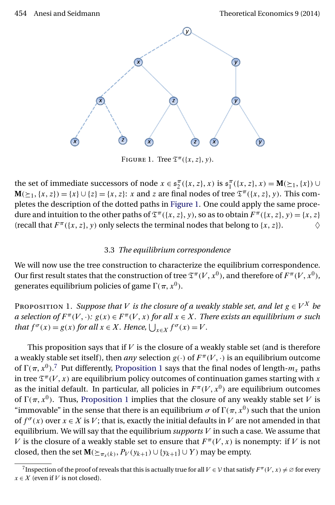<span id="page-9-0"></span>

FIGURE 1. Tree  $\mathfrak{T}^{\pi}(\{x,z\},y)$ .

the set of immediate successors of node  $x \in \mathfrak{s}_2^{\pi}(\{x, z\}, x)$  is  $\mathfrak{s}_1^{\pi}(\{x, z\}, x) = M(\succeq_1, \{x\}) \cup$  $M(\geq_1, \{x, z\}) = \{x\} \cup \{z\} = \{x, z\}$ : x and z are final nodes of tree  $\mathfrak{T}^{\pi}(\{x, z\}, y)$ . This completes the description of the dotted paths in Figure 1. One could apply the same procedure and intuition to the other paths of  $\mathfrak{T}^{\pi}(\{x, z\}, y)$ , so as to obtain  $F^{\pi}(\{x, z\}, y) = \{x, z\}$ (recall that  $F^{\pi}(\{x, z\}, y)$  only selects the terminal nodes that belong to  $\{x, z\}$ ).  $\diamondsuit$ 

### 3.3 *The equilibrium correspondence*

We will now use the tree construction to characterize the equilibrium correspondence. Our first result states that the construction of tree  $\mathfrak{T}^{\pi}(V, x^0)$ , and therefore of  $F^{\pi}(V, x^0)$ , generates equilibrium policies of game  $\Gamma(\pi,x^0).$ 

PROPOSITION 1. *Suppose that* V *is the closure of a weakly stable set, and let*  $g \in V^X$  *be*  $a$  selection of  $F^{\pi}(V, \cdot)$ :  $g(x) \in F^{\pi}(V, x)$  for all  $x \in X$ . There exists an equilibrium  $\sigma$  such *that*  $f^{\sigma}(x) = g(x)$  *for all*  $x \in X$ *. Hence,*  $\bigcup_{x \in X} f^{\sigma}(x) = V$ *.* 

This proposition says that if  $V$  is the closure of a weakly stable set (and is therefore a weakly stable set itself), then *any* selection  $g(\cdot)$  of  $F^{\pi}(V, \cdot)$  is an equilibrium outcome of  $\Gamma(\pi, x^0)$ .<sup>7</sup> Put differently, Proposition 1 says that the final nodes of length- $m_x$  paths in tree  $\mathfrak{T}^{\pi}(V,x)$  are equilibrium policy outcomes of continuation games starting with  $x$ as the initial default. In particular, all policies in  $F^{\pi}(V, x^0)$  are equilibrium outcomes of  $\Gamma(\pi, x^0)$ . Thus, Proposition 1 implies that the closure of any weakly stable set V is "immovable" in the sense that there is an equilibrium  $\sigma$  of  $\Gamma(\pi, x^0)$  such that the union of  $f^{\sigma}(x)$  over  $x \in X$  is V; that is, exactly the initial defaults in V are not amended in that equilibrium. We will say that the equilibrium *supports* V in such a case. We assume that V is the closure of a weakly stable set to ensure that  $F^{\pi}(V, x)$  is nonempty: if V is not closed, then the set  $\mathbf{M}(\succeq_{\pi_x(k)}, P_V(y_{k+1}) \cup \{y_{k+1}\} \cup Y)$  may be empty.

<sup>&</sup>lt;sup>7</sup> Inspection of the proof of reveals that this is actually true for all  $V \in V$  that satisfy  $F^{\pi}(V, x) \neq \emptyset$  for every  $x \in X$  (even if V is not closed).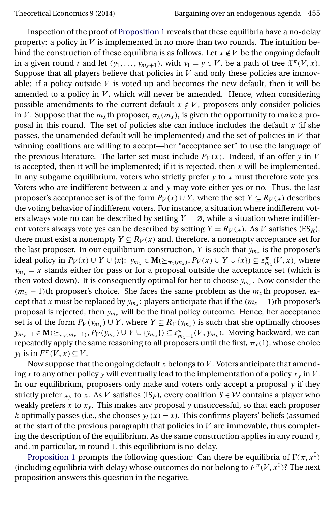Inspection of the proof of [Proposition 1](#page-9-0) reveals that these equilibria have a no-delay property: a policy in  $V$  is implemented in no more than two rounds. The intuition behind the construction of these equilibria is as follows. Let  $x \notin V$  be the ongoing default in a given round t and let  $(y_1, ..., y_{m_x+1})$ , with  $y_1 = y \in V$ , be a path of tree  $\mathfrak{T}^{\pi}(V, x)$ . Suppose that all players believe that policies in  $V$  and only these policies are immovable: if a policy outside  $V$  is voted up and becomes the new default, then it will be amended to a policy in  $V$ , which will never be amended. Hence, when considering possible amendments to the current default  $x \notin V$ , proposers only consider policies in V. Suppose that the  $m_x$ th proposer,  $\pi_x(m_x)$ , is given the opportunity to make a proposal in this round. The set of policies she can induce includes the default  $x$  (if she passes, the unamended default will be implemented) and the set of policies in  $V$  that winning coalitions are willing to accept—her "acceptance set" to use the language of the previous literature. The latter set must include  $P_V(x)$ . Indeed, if an offer y in V is accepted, then it will be implemented; if it is rejected, then  $x$  will be implemented. In any subgame equilibrium, voters who strictly prefer  $y$  to  $x$  must therefore vote yes. Voters who are indifferent between x and y may vote either yes or no. Thus, the last proposer's acceptance set is of the form  $P_V(x) \cup Y$ , where the set  $Y \subseteq R_V(x)$  describes the voting behavior of indifferent voters. For instance, a situation where indifferent voters always vote no can be described by setting  $Y = \emptyset$ , while a situation where indifferent voters always vote yes can be described by setting  $Y = R_V(x)$ . As V satisfies (ES<sub>R</sub>), there must exist a nonempty  $Y \subseteq R_V(x)$  and, therefore, a nonempty acceptance set for the last proposer. In our equilibrium construction, Y is such that  $y_{m_x}$  is the proposer's ideal policy in  $P_V(x) \cup Y \cup \{x\}$ :  $y_{m_x} \in M(\geq_{\pi_x(m_x)}, P_V(x) \cup Y \cup \{x\}) \subseteq \mathfrak{s}_{m_x}^{\pi}(V, x)$ , where  $y_{m_x} = x$  stands either for pass or for a proposal outside the acceptance set (which is then voted down). It is consequently optimal for her to choose  $y_{m_r}$ . Now consider the  $(m<sub>x</sub> - 1)$ th proposer's choice. She faces the same problem as the  $m<sub>x</sub>$ th proposer, except that x must be replaced by  $y_{m_x}$ : players anticipate that if the  $(m_x - 1)$ th proposer's proposal is rejected, then  $y_{m_x}$  will be the final policy outcome. Hence, her acceptance set is of the form  $P_V(y_{m_x}) \cup Y$ , where  $Y \subseteq R_V(y_{m_x})$  is such that she optimally chooses  $y_{m_x-1} \in M(\ge_{\pi_x(m_x-1)}, P_V(y_{m_x}) \cup Y \cup \{y_{m_x}\}) \subseteq \mathfrak{s}_{m_x-1}^{\pi}(V, y_{m_x})$ . Moving backward, we can repeatedly apply the same reasoning to all proposers until the first,  $\pi_x(1)$ , whose choice  $y_1$  is in  $F^{\pi}(V, x) \subseteq V$ .

Now suppose that the ongoing default  $x$  belongs to  $V$ . Voters anticipate that amending x to any other policy y will eventually lead to the implementation of a policy  $x<sub>v</sub>$  in V. In our equilibrium, proposers only make and voters only accept a proposal  $y$  if they strictly prefer  $x_y$  to x. As V satisfies (IS<sub>P</sub>), every coalition  $S \in \mathcal{W}$  contains a player who weakly prefers x to  $x_y$ . This makes any proposal y unsuccessful, so that each proposer k optimally passes (i.e., she chooses  $y_k(x) = x$ ). This confirms players' beliefs (assumed at the start of the previous paragraph) that policies in  $V$  are immovable, thus completing the description of the equilibrium. As the same construction applies in any round  $t$ , and, in particular, in round 1, this equilibrium is no-delay.

[Proposition 1](#page-9-0) prompts the following question: Can there be equilibria of  $\Gamma(\pi, x^0)$ (including equilibria with delay) whose outcomes do not belong to  $F^{\pi}(V, x^0)$ ? The next proposition answers this question in the negative.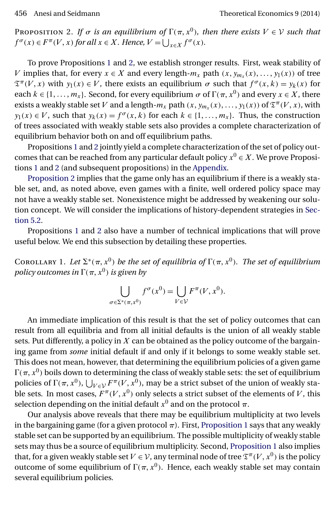<span id="page-11-0"></span>Proposition 2. If  $\sigma$  *is an equilibrium of*  $\Gamma(\pi, x^0)$ , then there exists  $V \in V$  such that  $f^{\sigma}(x) \in F^{\pi}(V, x)$  for all  $x \in X$ *. Hence,*  $V = \bigcup_{x \in X} f^{\sigma}(x)$ *.* 

To prove Propositions [1](#page-9-0) and 2, we establish stronger results. First, weak stability of V implies that, for every  $x \in X$  and every length- $m_x$  path  $(x, y_{m_x}(x), \ldots, y_1(x))$  of tree  $\mathfrak{T}^{\pi}(V, x)$  with  $y_1(x) \in V$ , there exists an equilibrium  $\sigma$  such that  $f^{\sigma}(x, k) = y_k(x)$  for each  $k \in \{1, ..., m_x\}$ . Second, for every equilibrium  $\sigma$  of  $\Gamma(\pi, x^0)$  and every  $x \in X$ , there exists a weakly stable set  $V$  and a length- $m_x$  path  $(x, y_{m_x}(x), \ldots, y_1(x))$  of  $\mathfrak{T}^{\pi}(V, x)$ , with  $y_1(x) \in V$ , such that  $y_k(x) = f^{\sigma}(x, k)$  for each  $k \in \{1, ..., m_x\}$ . Thus, the construction of trees associated with weakly stable sets also provides a complete characterization of equilibrium behavior both on and off equilibrium paths.

Propositions [1](#page-9-0) and 2 jointly yield a complete characterization of the set of policy outcomes that can be reached from any particular default policy  $x^0 \in X$ . We prove Propositions [1](#page-9-0) and 2 (and subsequent propositions) in the [Appendix.](#page-30-0)

Proposition 2 implies that the game only has an equilibrium if there is a weakly stable set, and, as noted above, even games with a finite, well ordered policy space may not have a weakly stable set. Nonexistence might be addressed by weakening our solution concept. We will consider the implications of history-dependent strategies in [Sec](#page-22-0)[tion 5.2.](#page-22-0)

Propositions [1](#page-9-0) and 2 also have a number of technical implications that will prove useful below. We end this subsection by detailing these properties.

COROLLARY 1. Let  $\Sigma^*(\pi, x^0)$  be the set of equilibria of  $\Gamma(\pi, x^0)$ . The set of equilibrium policy outcomes in  $\Gamma(\pi,x^0)$  is given by

$$
\bigcup_{\sigma \in \Sigma^*(\pi, x^0)} f^{\sigma}(x^0) = \bigcup_{V \in \mathcal{V}} F^{\pi}(V, x^0).
$$

An immediate implication of this result is that the set of policy outcomes that can result from all equilibria and from all initial defaults is the union of all weakly stable sets. Put differently, a policy in  $X$  can be obtained as the policy outcome of the bargaining game from *some* initial default if and only if it belongs to some weakly stable set. This does not mean, however, that determining the equilibrium policies of a given game  $\Gamma(\pi,x^0)$  boils down to determining the class of weakly stable sets: the set of equilibrium policies of  $\Gamma(\pi, x^0)$ ,  $\bigcup_{V \in \mathcal{V}} F^{\pi}(V, x^0)$ , may be a strict subset of the union of weakly stable sets. In most cases,  $F^{\pi}(V,x^0)$  only selects a strict subset of the elements of  $V$ , this selection depending on the initial default  $x^0$  and on the protocol  $\pi$ .

Our analysis above reveals that there may be equilibrium multiplicity at two levels in the bargaining game (for a given protocol  $\pi$ ). First, [Proposition 1](#page-9-0) says that any weakly stable set can be supported by an equilibrium. The possible multiplicity of weakly stable sets may thus be a source of equilibrium multiplicity. Second, [Proposition 1](#page-9-0) also implies that, for a given weakly stable set  $V \in V$ , any terminal node of tree  $\mathfrak{T}^{\pi}(V, x^0)$  is the policy outcome of some equilibrium of  $\Gamma(\pi, x^0)$ . Hence, each weakly stable set may contain several equilibrium policies.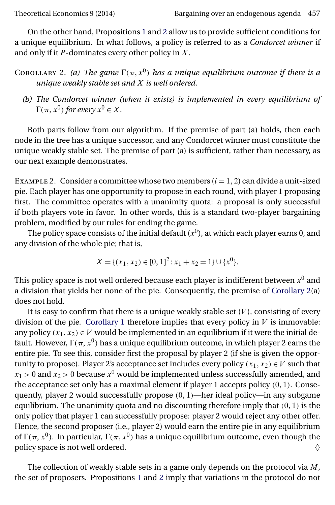<span id="page-12-0"></span>On the other hand, Propositions [1](#page-9-0) and [2](#page-11-0) allow us to provide sufficient conditions for a unique equilibrium. In what follows, a policy is referred to as a *Condorcet winner* if and only if it  $P$ -dominates every other policy in  $X$ .

- Corollary 2. *(a)* The game  $\Gamma(\pi, x^0)$  has a unique equilibrium outcome if there is a *unique weakly stable set and* X *is well ordered.*
	- *(b) The Condorcet winner (when it exists) is implemented in every equilibrium of*  $\Gamma(\pi, x^0)$  for every  $x^0 \in X$ .

Both parts follow from our algorithm. If the premise of part (a) holds, then each node in the tree has a unique successor, and any Condorcet winner must constitute the unique weakly stable set. The premise of part (a) is sufficient, rather than necessary, as our next example demonstrates.

EXAMPLE 2. Consider a committee whose two members  $(i = 1, 2)$  can divide a unit-sized pie. Each player has one opportunity to propose in each round, with player 1 proposing first. The committee operates with a unanimity quota: a proposal is only successful if both players vote in favor. In other words, this is a standard two-player bargaining problem, modified by our rules for ending the game.

The policy space consists of the initial default  $(x^0)$ , at which each player earns 0, and any division of the whole pie; that is,

$$
X = \{(x_1, x_2) \in [0, 1]^2 : x_1 + x_2 = 1\} \cup \{x^0\}.
$$

This policy space is not well ordered because each player is indifferent between  $x^0$  and a division that yields her none of the pie. Consequently, the premise of Corollary 2(a) does not hold.

It is easy to confirm that there is a unique weakly stable set  $(V)$ , consisting of every division of the pie. [Corollary 1](#page-11-0) therefore implies that every policy in  $V$  is immovable: any policy  $(x_1, x_2) \in V$  would be implemented in an equilibrium if it were the initial default. However,  $\Gamma(\pi,x^0)$  has a unique equilibrium outcome, in which player 2 earns the entire pie. To see this, consider first the proposal by player 2 (if she is given the opportunity to propose). Player 2's acceptance set includes every policy  $(x_1, x_2) \in V$  such that  $x_1 > 0$  and  $x_2 > 0$  because  $x^0$  would be implemented unless successfully amended, and the acceptance set only has a maximal element if player 1 accepts policy  $(0, 1)$ . Consequently, player 2 would successfully propose  $(0, 1)$ —her ideal policy—in any subgame equilibrium. The unanimity quota and no discounting therefore imply that  $(0,1)$  is the only policy that player 1 can successfully propose: player 2 would reject any other offer. Hence, the second proposer (i.e., player 2) would earn the entire pie in any equilibrium of  $\Gamma(\pi, x^0)$ . In particular,  $\Gamma(\pi, x^0)$  has a unique equilibrium outcome, even though the policy space is not well ordered.  $\Diamond$ 

The collection of weakly stable sets in a game only depends on the protocol via  $M$ , the set of proposers. Propositions [1](#page-9-0) and [2](#page-11-0) imply that variations in the protocol do not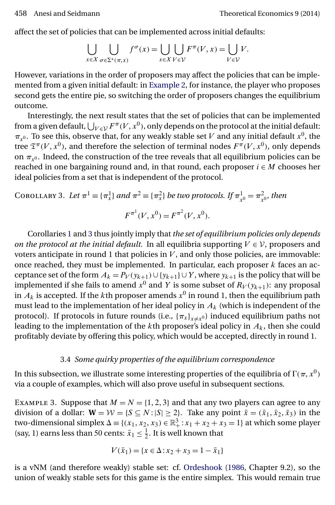<span id="page-13-0"></span>affect the set of policies that can be implemented across initial defaults:

$$
\bigcup_{x \in X} \bigcup_{\sigma \in \Sigma^*(\pi, x)} f^{\sigma}(x) = \bigcup_{x \in X} \bigcup_{V \in V} F^{\pi}(V, x) = \bigcup_{V \in V} V.
$$

However, variations in the order of proposers may affect the policies that can be implemented from a given initial default: in [Example 2,](#page-12-0) for instance, the player who proposes second gets the entire pie, so switching the order of proposers changes the equilibrium outcome.

Interestingly, the next result states that the set of policies that can be implemented from a given default,  $\bigcup_{V \in \mathcal{V}} F^{\pi}(V, x^0)$ , only depends on the protocol at the initial default:  $\pi_{x^0}$ . To see this, observe that, for any weakly stable set V and any initial default  $x^0$ , the tree  $\mathfrak{T}^{\pi}(V,x^0)$ , and therefore the selection of terminal nodes  $F^{\pi}(V,x^0)$ , only depends on  $\pi_{\nu^0}$ . Indeed, the construction of the tree reveals that all equilibrium policies can be reached in one bargaining round and, in that round, each proposer  $i \in M$  chooses her ideal policies from a set that is independent of the protocol.

COROLLARY 3. Let 
$$
\pi^1 \equiv {\lbrace \pi_x^1 \rbrace}
$$
 and  $\pi^2 \equiv {\lbrace \pi_x^2 \rbrace}$  be two protocols. If  $\pi_{x^0}^1 = \pi_{x^0}^2$ , then  

$$
F^{\pi^1}(V, x^0) = F^{\pi^2}(V, x^0).
$$

Corollaries [1](#page-11-0) and 3 thus jointly imply that *the set of equilibrium policies only depends on the protocol at the initial default.* In all equilibria supporting  $V \in V$ , proposers and voters anticipate in round 1 that policies in  $V$ , and only those policies, are immovable: once reached, they must be implemented. In particular, each proposer  $k$  faces an acceptance set of the form  $A_k = P_V(y_{k+1}) \cup \{y_{k+1}\} \cup Y$ , where  $y_{k+1}$  is the policy that will be implemented if she fails to amend  $x^0$  and Y is some subset of  $R_V(y_{k+1})$ : any proposal in  $A_k$  is accepted. If the kth proposer amends  $x^0$  in round 1, then the equilibrium path must lead to the implementation of her ideal policy in  $A_k$  (which is independent of the protocol). If protocols in future rounds (i.e.,  $\{\pi_x\}_{x\neq x^0}$ ) induced equilibrium paths not leading to the implementation of the kth proposer's ideal policy in  $A_k$ , then she could profitably deviate by offering this policy, which would be accepted, directly in round 1.

### 3.4 *Some quirky properties of the equilibrium correspondence*

In this subsection, we illustrate some interesting properties of the equilibria of  $\Gamma(\pi,x^0)$ via a couple of examples, which will also prove useful in subsequent sections.

EXAMPLE 3. Suppose that  $M = N = \{1, 2, 3\}$  and that any two players can agree to any division of a dollar:  $\mathbf{W} = \mathcal{W} = \{ S \subseteq N : |S| \ge 2 \}$ . Take any point  $\bar{x} = (\bar{x}_1, \bar{x}_2, \bar{x}_3)$  in the two-dimensional simplex  $\Delta \equiv \{(x_1, x_2, x_3) \in \mathbb{R}_+^3 : x_1 + x_2 + x_3 = 1\}$  at which some player (say, 1) earns less than 50 cents:  $\bar{x}_1 \leq \frac{1}{2}$ . It is well known that

$$
V(\bar{x}_1) = \{x \in \Delta : x_2 + x_3 = 1 - \bar{x}_1\}
$$

is a vNM (and therefore weakly) stable set: cf. [Ordeshook](#page-37-0) [\(1986,](#page-37-0) Chapter 9.2), so the union of weakly stable sets for this game is the entire simplex. This would remain true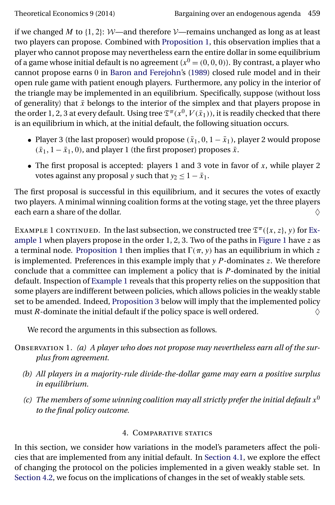<span id="page-14-0"></span>if we changed M to  $\{1, 2\}$ : W—and therefore V—remains unchanged as long as at least two players can propose. Combined with [Proposition 1,](#page-9-0) this observation implies that a player who cannot propose may nevertheless earn the entire dollar in some equilibrium of a game whose initial default is no agreement ( $x^0 = (0,0,0)$ ). By contrast, a player who cannot propose earns 0 in [Baron and Ferejohn'](#page-35-0)s [\(1989\)](#page-35-0) closed rule model and in their open rule game with patient enough players. Furthermore, any policy in the interior of the triangle may be implemented in an equilibrium. Specifically, suppose (without loss of generality) that  $\bar{x}$  belongs to the interior of the simplex and that players propose in the order 1, 2, 3 at every default. Using tree  $\mathfrak{T}^{\pi}(x^0, V(\bar{x}_1))$ , it is readily checked that there is an equilibrium in which, at the initial default, the following situation occurs.

- Player 3 (the last proposer) would propose  $(\bar{x}_1, 0, 1 \bar{x}_1)$ , player 2 would propose  $(\bar{x}_1, 1 - \bar{x}_1, 0)$ , and player 1 (the first proposer) proposes  $\bar{x}$ .
- The first proposal is accepted: players 1 and 3 vote in favor of  $x$ , while player 2 votes against any proposal y such that  $y_2 \leq 1 - \bar{x}_1$ .

The first proposal is successful in this equilibrium, and it secures the votes of exactly two players. A minimal winning coalition forms at the voting stage, yet the three players each earn a share of the dollar.  $\Diamond$ 

EXAMPLE 1 CONTINUED. In the last subsection, we constructed tree  $\mathfrak{T}^{\pi}(\lbrace x, z \rbrace, y)$  for [Ex](#page-6-0)[ample 1](#page-6-0) when players propose in the order  $1, 2, 3$ . Two of the paths in [Figure 1](#page-9-0) have  $z$  as a terminal node. [Proposition 1](#page-9-0) then implies that  $\Gamma(\pi,y)$  has an equilibrium in which  $z$ is implemented. Preferences in this example imply that  $y$   $P$ -dominates  $z$ . We therefore conclude that a committee can implement a policy that is P-dominated by the initial default. Inspection of [Example 1](#page-6-0) reveals that this property relies on the supposition that some players are indifferent between policies, which allows policies in the weakly stable set to be amended. Indeed, [Proposition 3](#page-15-0) below will imply that the implemented policy must  $R$ -dominate the initial default if the policy space is well ordered.

We record the arguments in this subsection as follows.

OBSERVATION 1. (a) A player who does not propose may nevertheless earn all of the sur*plus from agreement.*

- *(b) All players in a majority-rule divide-the-dollar game may earn a positive surplus in equilibrium.*
- *(c)* The members of some winning coalition may all strictly prefer the initial default  $x^0$ *to the final policy outcome.*

# 4. COMPARATIVE STATICS

In this section, we consider how variations in the model's parameters affect the policies that are implemented from any initial default. In [Section 4.1,](#page-15-0) we explore the effect of changing the protocol on the policies implemented in a given weakly stable set. In [Section 4.2,](#page-17-0) we focus on the implications of changes in the set of weakly stable sets.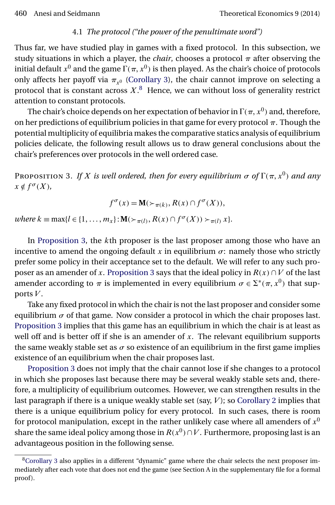## 4.1 *The protocol ("the power of the penultimate word")*

<span id="page-15-0"></span>Thus far, we have studied play in games with a fixed protocol. In this subsection, we study situations in which a player, the *chair*, chooses a protocol  $\pi$  after observing the initial default  $x^0$  and the game  $\Gamma(\pi,x^0)$  is then played. As the chair's choice of protocols only affects her payoff via  $\pi_{x^0}$  [\(Corollary 3\)](#page-13-0), the chair cannot improve on selecting a protocol that is constant across  $X.^{8}\,$  Hence, we can without loss of generality restrict attention to constant protocols.

The chair's choice depends on her expectation of behavior in  $\Gamma(\pi, x^0)$  and, therefore, on her predictions of equilibrium policies in that game for every protocol  $\pi$ . Though the potential multiplicity of equilibria makes the comparative statics analysis of equilibrium policies delicate, the following result allows us to draw general conclusions about the chair's preferences over protocols in the well ordered case.

Proposition 3. *If X is well ordered, then for every equilibrium*  $\sigma$  *of*  $\Gamma(\pi, x^0)$  *and any*  $x \notin f^{\sigma}(X)$ ,

 $f^{\sigma}(x) = \mathbf{M}(\succ_{\pi(k)}, R(x) \cap f^{\sigma}(X)),$ 

*where*  $k \equiv \max\{l \in \{1, ..., m_x\} : \mathbf{M}(\succ_{\pi(l)}, R(x) \cap f^{\sigma}(X)) \succ_{\pi(l)} x\}.$ 

In Proposition 3, the  $k$ th proposer is the last proposer among those who have an incentive to amend the ongoing default x in equilibrium  $\sigma$ : namely those who strictly prefer some policy in their acceptance set to the default. We will refer to any such proposer as an amender of x. Proposition 3 says that the ideal policy in  $R(x) \cap V$  of the last amender according to  $\pi$  is implemented in every equilibrium  $\sigma \in \Sigma^* (\pi, x^0)$  that supports  $V$ .

Take any fixed protocol in which the chair is not the last proposer and consider some equilibrium  $\sigma$  of that game. Now consider a protocol in which the chair proposes last. Proposition 3 implies that this game has an equilibrium in which the chair is at least as well off and is better off if she is an amender of  $x$ . The relevant equilibrium supports the same weakly stable set as  $\sigma$  so existence of an equilibrium in the first game implies existence of an equilibrium when the chair proposes last.

Proposition 3 does not imply that the chair cannot lose if she changes to a protocol in which she proposes last because there may be several weakly stable sets and, therefore, a multiplicity of equilibrium outcomes. However, we can strengthen results in the last paragraph if there is a unique weakly stable set (say,  $V$ ); so [Corollary 2](#page-12-0) implies that there is a unique equilibrium policy for every protocol. In such cases, there is room for protocol manipulation, except in the rather unlikely case where all amenders of  $x^0$ share the same ideal policy among those in  $R(x^0) \cap V$ . Furthermore, proposing last is an advantageous position in the following sense.

<sup>&</sup>lt;sup>8</sup>Corollary 3 also applies in a different "dynamic" game where the chair selects the next proposer immediately after each vote that does not end the game (see Section A in the supplementary file for a formal proof).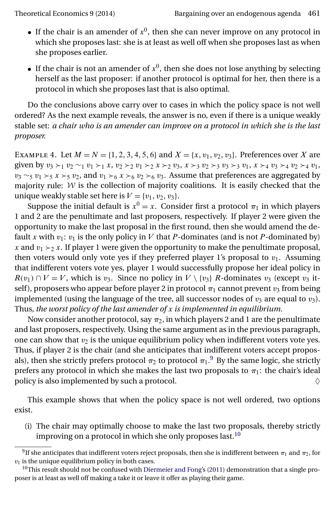- <span id="page-16-0"></span>• If the chair is an amender of  $x^0$ , then she can never improve on any protocol in which she proposes last: she is at least as well off when she proposes last as when she proposes earlier.
- If the chair is not an amender of  $x^0$ , then she does not lose anything by selecting herself as the last proposer: if another protocol is optimal for her, then there is a protocol in which she proposes last that is also optimal.

Do the conclusions above carry over to cases in which the policy space is not well ordered? As the next example reveals, the answer is no, even if there is a unique weakly stable set: *a chair who is an amender can improve on a protocol in which she is the last proposer.*

EXAMPLE 4. Let  $M = N = \{1, 2, 3, 4, 5, 6\}$  and  $X = \{x, v_1, v_2, v_3\}$ . Preferences over X are given by  $v_3 \succ_1 v_2 \sim_1 v_1 \succ_1 x$ ,  $v_2 \succ_2 v_1 \succ_2 x \succ_2 v_3$ ,  $x \succ_3 v_2 \succ_3 v_3 \succ_3 v_1$ ,  $x \succ_4 v_3 \succ_4 v_2 \succ_4 v_1$ ,  $v_3 \sim_5 v_1 \succ_5 x \succ_5 v_2$ , and  $v_1 \succ_6 x \succ_6 v_2 \succ_6 v_3$ . Assume that preferences are aggregated by majority rule:  $W$  is the collection of majority coalitions. It is easily checked that the unique weakly stable set here is  $V = \{v_1, v_2, v_3\}.$ 

Suppose the initial default is  $x^0 = x$ . Consider first a protocol  $\pi_1$  in which players 1 and 2 are the penultimate and last proposers, respectively. If player 2 were given the opportunity to make the last proposal in the first round, then she would amend the default x with  $v_1$ :  $v_1$  is the only policy in V that P-dominates (and is not P-dominated by) x and  $v_1 \succ_2 x$ . If player 1 were given the opportunity to make the penultimate proposal, then voters would only vote yes if they preferred player 1's proposal to  $v_1$ . Assuming that indifferent voters vote yes, player 1 would successfully propose her ideal policy in  $R(v_1) \cap V = V$ , which is v<sub>3</sub>. Since no policy in  $V \setminus \{v_3\}$  R-dominates v<sub>3</sub> (except v<sub>3</sub> itself), proposers who appear before player 2 in protocol  $\pi_1$  cannot prevent  $v_3$  from being implemented (using the language of the tree, all successor nodes of  $v_3$  are equal to  $v_3$ ). Thus, *the worst policy of the last amender of* x *is implemented in equilibrium.*

Now consider another protocol, say  $\pi_2$ , in which players 2 and 1 are the penultimate and last proposers, respectively. Using the same argument as in the previous paragraph, one can show that  $v_2$  is the unique equilibrium policy when indifferent voters vote yes. Thus, if player 2 is the chair (and she anticipates that indifferent voters accept proposals), then she strictly prefers protocol  $\pi_2$  to protocol  $\pi_1$ .<sup>9</sup> By the same logic, she strictly prefers any protocol in which she makes the last two proposals to  $\pi_1$ : the chair's ideal policy is also implemented by such a protocol.  $\Diamond$ 

This example shows that when the policy space is not well ordered, two options exist.

(i) The chair may optimally choose to make the last two proposals, thereby strictly improving on a protocol in which she only proposes last.<sup>10</sup>

<sup>&</sup>lt;sup>9</sup>If she anticipates that indifferent voters reject proposals, then she is indifferent between  $\pi_1$  and  $\pi_2$ , for  $v_1$  is the unique equilibrium policy in both cases.

 $10$ This result should not be confused with [Diermeier and Fong'](#page-36-0)s [\(2011\)](#page-36-0) demonstration that a single proposer is at least as well off making a take it or leave it offer as playing their game.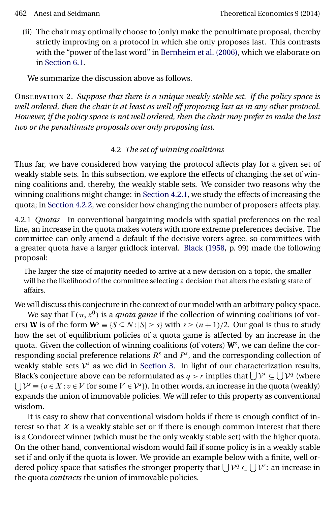<span id="page-17-0"></span>(ii) The chair may optimally choose to (only) make the penultimate proposal, thereby strictly improving on a protocol in which she only proposes last. This contrasts with the "power of the last word" in [Bernheim et al. \(2006\),](#page-36-0) which we elaborate on in [Section 6.1.](#page-25-0)

We summarize the discussion above as follows.

Observation 2. *Suppose that there is a unique weakly stable set. If the policy space is well ordered, then the chair is at least as well off proposing last as in any other protocol. However, if the policy space is not well ordered, then the chair may prefer to make the last two or the penultimate proposals over only proposing last.*

# 4.2 *The set of winning coalitions*

Thus far, we have considered how varying the protocol affects play for a given set of weakly stable sets. In this subsection, we explore the effects of changing the set of winning coalitions and, thereby, the weakly stable sets. We consider two reasons why the winning coalitions might change: in Section 4.2.1, we study the effects of increasing the quota; in [Section 4.2.2,](#page-18-0) we consider how changing the number of proposers affects play.

4.2.1 *Quotas* In conventional bargaining models with spatial preferences on the real line, an increase in the quota makes voters with more extreme preferences decisive. The committee can only amend a default if the decisive voters agree, so committees with a greater quota have a larger gridlock interval. [Black](#page-36-0) [\(1958,](#page-36-0) p. 99) made the following proposal:

The larger the size of majority needed to arrive at a new decision on a topic, the smaller will be the likelihood of the committee selecting a decision that alters the existing state of affairs.

We will discuss this conjecture in the context of our model with an arbitrary policy space.

We say that  $\Gamma(\pi, x^0)$  is a *quota game* if the collection of winning coalitions (of voters) **W** is of the form  $W^s = \{S \subseteq N : |S| \ge s\}$  with  $s \ge (n+1)/2$ . Our goal is thus to study how the set of equilibrium policies of a quota game is affected by an increase in the quota. Given the collection of winning coalitions (of voters)  $W<sup>s</sup>$ , we can define the corresponding social preference relations  $R<sup>s</sup>$  and  $P<sup>s</sup>$ , and the corresponding collection of weakly stable sets  $V^s$  as we did in [Section 3.](#page-6-0) In light of our characterization results, Black's conjecture above can be reformulated as  $q > r$  implies that  $|y^r \subseteq |y^q|$  (where  $\bigcup \mathcal{V}^s \equiv \{v \in X : v \in V \text{ for some } V \in \mathcal{V}^s\}$ . In other words, an increase in the quota (weakly) expands the union of immovable policies. We will refer to this property as conventional wisdom.

It is easy to show that conventional wisdom holds if there is enough conflict of interest so that  $X$  is a weakly stable set or if there is enough common interest that there is a Condorcet winner (which must be the only weakly stable set) with the higher quota. On the other hand, conventional wisdom would fail if some policy is in a weakly stable set if and only if the quota is lower. We provide an example below with a finite, well ordered policy space that satisfies the stronger property that  $\vert \ \vert \mathcal{V}^q \subset \vert \ \vert \mathcal{V}^r$ : an increase in the quota *contracts* the union of immovable policies.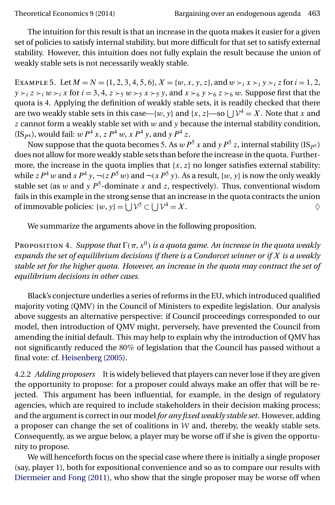<span id="page-18-0"></span>

The intuition for this result is that an increase in the quota makes it easier for a given set of policies to satisfy internal stability, but more difficult for that set to satisfy external stability. However, this intuition does not fully explain the result because the union of weakly stable sets is not necessarily weakly stable.

EXAMPLE 5. Let  $M = N = \{1, 2, 3, 4, 5, 6\}, X = \{w, x, y, z\}, \text{and } w \succ_i x \succ_i y \succ_i z \text{ for } i = 1, 2,$  $y \succ_i z \succ_i w \succ_i x$  for  $i = 3, 4, z \succ_5 w \succ_5 x \succ_5 y$ , and  $x \succ_6 y \succ_6 z \succ_6 w$ . Suppose first that the quota is 4. Applying the definition of weakly stable sets, it is readily checked that there are two weakly stable sets in this case— $\{w, y\}$  and  $\{x, z\}$ —so  $\bigcup \mathcal{V}^4 = X$ . Note that x and  $z$  cannot form a weakly stable set with  $w$  and  $y$  because the internal stability condition,  $(IS_{p4})$ , would fail:  $w P^4 x$ ,  $z P^4 w$ ,  $x P^4 y$ , and  $y P^4 z$ .

Now suppose that the quota becomes 5. As  $w P^5 x$  and  $y P^5 z$ , internal stability (IS<sub>p5</sub>) does not allow for more weakly stable sets than before the increase in the quota. Furthermore, the increase in the quota implies that  $\{x, z\}$  no longer satisfies external stability: while  $z$   $P^4$   $w$  and  $x$   $P^4$   $y$ ,  $\neg (z$   $P^5$   $w)$  and  $\neg (x$   $P^5$   $y)$ . As a result, { $w,$   $y$ } is now the only weakly stable set (as w and y  $P^5$ -dominate x and z, respectively). Thus, conventional wisdom fails in this example in the strong sense that an increase in the quota contracts the union of immovable policies:  $\{w, y\} = \bigcup \mathcal{V}^5 \subset \bigcup \mathcal{V}^4 = X$ .

We summarize the arguments above in the following proposition.

Proposition 4. *Suppose that*  $\Gamma(\pi,x^0)$  *is a quota game. An increase in the quota weakly expands the set of equilibrium decisions if there is a Condorcet winner or if* X *is a weakly stable set for the higher quota. However, an increase in the quota may contract the set of equilibrium decisions in other cases.*

Black's conjecture underlies a series of reforms in the EU, which introduced qualified majority voting (QMV) in the Council of Ministers to expedite legislation. Our analysis above suggests an alternative perspective: if Council proceedings corresponded to our model, then introduction of QMV might, perversely, have prevented the Council from amending the initial default. This may help to explain why the introduction of QMV has not significantly reduced the 80% of legislation that the Council has passed without a final vote: cf. [Heisenberg](#page-37-0) [\(2005\)](#page-37-0).

4.2.2 *Adding proposers* It is widely believed that players can never lose if they are given the opportunity to propose: for a proposer could always make an offer that will be rejected. This argument has been influential, for example, in the design of regulatory agencies, which are required to include stakeholders in their decision making process; and the argument is correct in our model *for any fixed weakly stable set*. However, adding a proposer can change the set of coalitions in  $W$  and, thereby, the weakly stable sets. Consequently, as we argue below, a player may be worse off if she is given the opportunity to propose.

We will henceforth focus on the special case where there is initially a single proposer (say, player 1), both for expositional convenience and so as to compare our results with [Diermeier and Fong](#page-36-0) [\(2011\)](#page-36-0), who show that the single proposer may be worse off when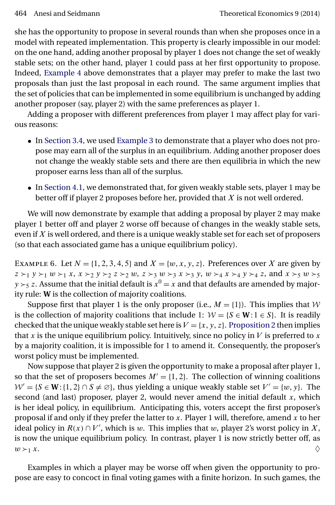<span id="page-19-0"></span>she has the opportunity to propose in several rounds than when she proposes once in a model with repeated implementation. This property is clearly impossible in our model: on the one hand, adding another proposal by player 1 does not change the set of weakly stable sets; on the other hand, player 1 could pass at her first opportunity to propose. Indeed, [Example 4](#page-16-0) above demonstrates that a player may prefer to make the last two proposals than just the last proposal in each round. The same argument implies that the set of policies that can be implemented in some equilibrium is unchanged by adding another proposer (say, player 2) with the same preferences as player 1.

Adding a proposer with different preferences from player 1 may affect play for various reasons:

- In [Section 3.4,](#page-13-0) we used [Example 3](#page-13-0) to demonstrate that a player who does not propose may earn all of the surplus in an equilibrium. Adding another proposer does not change the weakly stable sets and there are then equilibria in which the new proposer earns less than all of the surplus.
- In [Section 4.1,](#page-15-0) we demonstrated that, for given weakly stable sets, player 1 may be better off if player 2 proposes before her, provided that  $X$  is not well ordered.

We will now demonstrate by example that adding a proposal by player 2 may make player 1 better off and player 2 worse off because of changes in the weakly stable sets, even if  $X$  is well ordered, and there is a unique weakly stable set for each set of proposers (so that each associated game has a unique equilibrium policy).

EXAMPLE 6. Let  $N = \{1, 2, 3, 4, 5\}$  and  $X = \{w, x, y, z\}$ . Preferences over X are given by  $z \succ_1 y \succ_1 w \succ_1 x$ ,  $x \succ_2 y \succ_2 z \succ_2 w$ ,  $z \succ_3 w \succ_3 x \succ_3 y$ ,  $w \succ_4 x \succ_4 y \succ_4 z$ , and  $x \succ_5 w \succ_5 z$  $y > 5$  z. Assume that the initial default is  $x^0 = x$  and that defaults are amended by majority rule: **W** is the collection of majority coalitions.

Suppose first that player 1 is the only proposer (i.e.,  $M = \{1\}$ ). This implies that W is the collection of majority coalitions that include 1:  $W = \{S \in \mathbf{W} : 1 \in S\}$ . It is readily checked that the unique weakly stable set here is  $V = \{x, y, z\}$ . [Proposition 2](#page-11-0) then implies that x is the unique equilibrium policy. Intuitively, since no policy in V is preferred to x by a majority coalition, it is impossible for 1 to amend it. Consequently, the proposer's worst policy must be implemented.

Now suppose that player 2 is given the opportunity to make a proposal after player 1, so that the set of proposers becomes  $M' = \{1, 2\}$ . The collection of winning coalitions  $W' = \{S \in \mathbf{W} : \{1, 2\} \cap S \neq \emptyset\}$ , thus yielding a unique weakly stable set  $V' = \{w, y\}$ . The second (and last) proposer, player 2, would never amend the initial default  $x$ , which is her ideal policy, in equilibrium. Anticipating this, voters accept the first proposer's proposal if and only if they prefer the latter to x. Player 1 will, therefore, amend x to her ideal policy in  $R(x) \cap V'$ , which is w. This implies that w, player 2's worst policy in X, is now the unique equilibrium policy. In contrast, player 1 is now strictly better off, as  $w \succ_1 x.$ 

Examples in which a player may be worse off when given the opportunity to propose are easy to concoct in final voting games with a finite horizon. In such games, the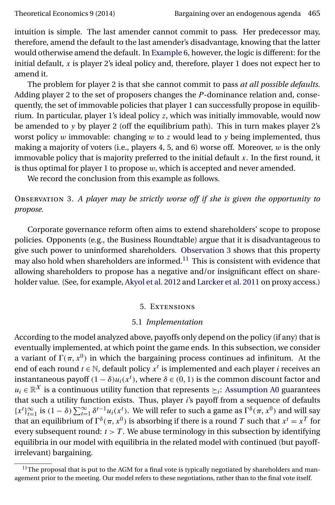<span id="page-20-0"></span>intuition is simple. The last amender cannot commit to pass. Her predecessor may, therefore, amend the default to the last amender's disadvantage, knowing that the latter would otherwise amend the default. In [Example 6,](#page-19-0) however, the logic is different: for the initial default,  $x$  is player 2's ideal policy and, therefore, player 1 does not expect her to amend it.

The problem for player 2 is that she cannot commit to pass *at all possible defaults.* Adding player 2 to the set of proposers changes the  $P$ -dominance relation and, consequently, the set of immovable policies that player 1 can successfully propose in equilibrium. In particular, player 1's ideal policy z, which was initially immovable, would now be amended to y by player 2 (off the equilibrium path). This in turn makes player 2's worst policy  $w$  immovable: changing  $w$  to  $z$  would lead to  $y$  being implemented, thus making a majority of voters (i.e., players 4, 5, and 6) worse off. Moreover,  $w$  is the only immovable policy that is majority preferred to the initial default  $x$ . In the first round, it is thus optimal for player 1 to propose  $w$ , which is accepted and never amended.

We record the conclusion from this example as follows.

Observation 3. *A player may be strictly worse off if she is given the opportunity to propose.*

Corporate governance reform often aims to extend shareholders' scope to propose policies. Opponents (e.g., the Business Roundtable) argue that it is disadvantageous to give such power to uninformed shareholders. Observation 3 shows that this property may also hold when shareholders are informed.<sup>11</sup> This is consistent with evidence that allowing shareholders to propose has a negative and/or insignificant effect on shareholder value. (See, for example, [Akyol et al. 2012](#page-35-0) and [Larcker et al. 2011](#page-37-0) on proxy access.)

# 5. Extensions

# 5.1 *Implementation*

According to the model analyzed above, payoffs only depend on the policy (if any) that is eventually implemented, at which point the game ends. In this subsection, we consider a variant of  $\Gamma(\pi, x^0)$  in which the bargaining process continues ad infinitum. At the end of each round  $t \in \mathbb{N}$ , default policy  $x^t$  is implemented and each player *i* receives an instantaneous payoff  $(1 - \delta)u_i(x^t)$ , where  $\delta \in (0, 1)$  is the common discount factor and  $u_i \in \mathbb{R}^X$  is a continuous utility function that represents  $\succeq_i$ : [Assumption A0](#page-3-0) guarantees that such a utility function exists. Thus, player i's payoff from a sequence of defaults  ${x^t}_{t=1}^{\infty}$  is  $(1-\delta)\sum_{t=1}^{\infty}\delta^{t-1}u_i(x^t)$ . We will refer to such a game as  $\Gamma^{\delta}(\pi, x^0)$  and will say that an equilibrium of  $\Gamma^\delta(\pi, x^0)$  is absorbing if there is a round T such that  $x^t = x^T$  for every subsequent round:  $t > T$ . We abuse terminology in this subsection by identifying equilibria in our model with equilibria in the related model with continued (but payoffirrelevant) bargaining.

 $11$ The proposal that is put to the AGM for a final vote is typically negotiated by shareholders and management prior to the meeting. Our model refers to these negotiations, rather than to the final vote itself.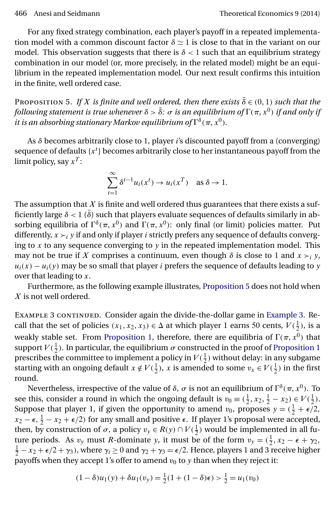<span id="page-21-0"></span>For any fixed strategy combination, each player's payoff in a repeated implementation model with a common discount factor  $\delta \simeq 1$  is close to that in the variant on our model. This observation suggests that there is  $\delta$  < 1 such that an equilibrium strategy combination in our model (or, more precisely, in the related model) might be an equilibrium in the repeated implementation model. Our next result confirms this intuition in the finite, well ordered case.

Proposition 5. If X is finite and well ordered, then there exists  $\bar{\delta} \in (0,1)$  such that the following statement is true whenever  $\delta > \bar{\delta}$ :  $\sigma$  is an equilibrium of  $\Gamma(\pi, x^0)$  if and only if it is an absorbing stationary Markov equilibrium of  $\Gamma^{\delta}(\pi, x^0).$ 

As  $\delta$  becomes arbitrarily close to 1, player *i*'s discounted payoff from a (converging) sequence of defaults  $\{x^t\}$  becomes arbitrarily close to her instantaneous payoff from the limit policy, say  $x^T$ :

$$
\sum_{t=1}^{\infty} \delta^{t-1} u_i(x^t) \to u_i(x^T) \quad \text{as } \delta \to 1.
$$

The assumption that  $X$  is finite and well ordered thus guarantees that there exists a sufficiently large  $\delta < 1$  ( $\bar{\delta}$ ) such that players evaluate sequences of defaults similarly in absorbing equilibria of  $\Gamma^{\delta}(\pi, x^0)$  and  $\Gamma(\pi, x^0)$ : only final (or limit) policies matter. Put differently,  $x \succ_i y$  if and only if player i strictly prefers any sequence of defaults converging to  $x$  to any sequence converging to  $y$  in the repeated implementation model. This may not be true if X comprises a continuum, even though  $\delta$  is close to 1 and  $x \succ_i y$ ,  $u_i(x) - u_i(y)$  may be so small that player *i* prefers the sequence of defaults leading to y over that leading to  $x$ .

Furthermore, as the following example illustrates, Proposition 5 does not hold when X is not well ordered.

EXAMPLE 3 CONTINUED. Consider again the divide-the-dollar game in [Example 3.](#page-13-0) Recall that the set of policies  $(x_1, x_2, x_3) \in \Delta$  at which player 1 earns 50 cents,  $V(\frac{1}{2})$ , is a weakly stable set. From [Proposition 1,](#page-9-0) therefore, there are equilibria of  $\Gamma(\pi, x^0)$  that support  $V(\frac{1}{2})$ . In particular, the equilibrium  $\sigma$  constructed in the proof of [Proposition 1](#page-9-0) prescribes the committee to implement a policy in  $V(\frac{1}{2})$  without delay: in any subgame starting with an ongoing default  $x \notin V(\frac{1}{2})$ ,  $x$  is amended to some  $v_x \in V(\frac{1}{2})$  in the first round.

Nevertheless, irrespective of the value of  $\delta$ ,  $\sigma$  is not an equilibrium of  $\Gamma^\delta(\pi,x^0)$ . To see this, consider a round in which the ongoing default is  $v_0 \equiv (\frac{1}{2}, x_2, \frac{1}{2} - x_2) \in V(\frac{1}{2})$ . Suppose that player 1, if given the opportunity to amend  $v_0$ , proposes  $y = (\frac{1}{2} + \epsilon/2)$ ,  $x_2 - \epsilon$ ,  $\frac{1}{2} - x_2 + \epsilon/2$ ) for any small and positive  $\epsilon$ . If player 1's proposal were accepted, then, by construction of  $\sigma$ , a policy  $v_y \in R(y) \cap V(\frac{1}{2})$  would be implemented in all future periods. As  $v_y$  must R-dominate y, it must be of the form  $v_y = (\frac{1}{2}, x_2 - \epsilon + \gamma_2,$  $\frac{1}{2} - x_2 + \epsilon/2 + \gamma_3$ ), where  $\gamma_i \ge 0$  and  $\gamma_2 + \gamma_3 = \epsilon/2$ . Hence, players 1 and 3 receive higher payoffs when they accept 1's offer to amend  $v_0$  to y than when they reject it:

$$
(1 - \delta)u_1(y) + \delta u_1(v_y) = \frac{1}{2}(1 + (1 - \delta)\epsilon) > \frac{1}{2} = u_1(v_0)
$$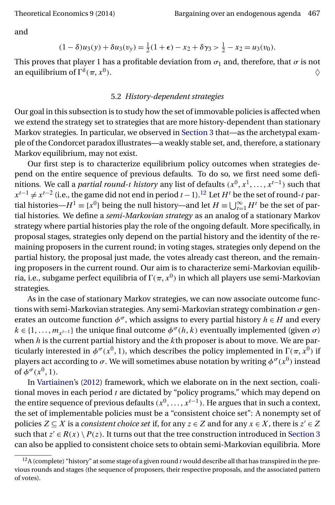<span id="page-22-0"></span>and

$$
(1 - \delta)u_3(y) + \delta u_3(v_y) = \frac{1}{2}(1 + \epsilon) - x_2 + \delta \gamma_3 > \frac{1}{2} - x_2 = u_3(v_0).
$$

This proves that player 1 has a profitable deviation from  $\sigma_1$  and, therefore, that  $\sigma$  is not an equilibrium of  $\Gamma^{\delta}(\pi, x^0)$ .  $x^0$ ).

### 5.2 *History-dependent strategies*

Our goal in this subsection is to study how the set of immovable policies is affected when we extend the strategy set to strategies that are more history-dependent than stationary Markov strategies. In particular, we observed in [Section 3](#page-6-0) that—as the archetypal example of the Condorcet paradox illustrates—a weakly stable set, and, therefore, a stationary Markov equilibrium, may not exist.

Our first step is to characterize equilibrium policy outcomes when strategies depend on the entire sequence of previous defaults. To do so, we first need some definitions. We call a *partial round-t history* any list of defaults  $(x^0, x^1, \ldots, x^{t-1})$  such that  $x^{t-1} \neq x^{t-2}$  (i.e., the game did not end in period  $t-1$ ).<sup>12</sup> Let  $H^t$  be the set of round-t partial histories— $H^1 \equiv \{x^0\}$  being the null history—and let  $H \equiv \bigcup_{t=1}^{\infty} H^t$  be the set of partial histories. We define a *semi-Markovian strategy* as an analog of a stationary Markov strategy where partial histories play the role of the ongoing default. More specifically, in proposal stages, strategies only depend on the partial history and the identity of the remaining proposers in the current round; in voting stages, strategies only depend on the partial history, the proposal just made, the votes already cast thereon, and the remaining proposers in the current round. Our aim is to characterize semi-Markovian equilibria, i.e., subgame perfect equilibria of  $\Gamma(\pi, x^0)$  in which all players use semi-Markovian strategies.

As in the case of stationary Markov strategies, we can now associate outcome functions with semi-Markovian strategies. Any semi-Markovian strategy combination  $\sigma$  generates an outcome function  $\phi^{\sigma}$ , which assigns to every partial history  $h \in H$  and every  $k \in \{1, \ldots, m_{x^{t-1}}\}$  the unique final outcome  $\phi^{\sigma}(h, k)$  eventually implemented (given  $\sigma$ ) when  $h$  is the current partial history and the  $k$ th proposer is about to move. We are particularly interested in  $\phi^{\sigma}(x^0, 1)$ , which describes the policy implemented in  $\Gamma(\pi, x^0)$  if players act according to  $\sigma$ . We will sometimes abuse notation by writing  $\phi^{\sigma}(x^0)$  instead of  $\phi^{\sigma}(x^0, 1)$ .

In [Vartiainen'](#page-37-0)s [\(2012\)](#page-37-0) framework, which we elaborate on in the next section, coalitional moves in each period  $t$  are dictated by "policy programs," which may depend on the entire sequence of previous defaults  $(x^0, \ldots, x^{t-1})$ . He argues that in such a context, the set of implementable policies must be a "consistent choice set": A nonempty set of policies  $Z \subseteq X$  is a *consistent choice set* if, for any  $z \in Z$  and for any  $x \in X$ , there is  $z' \in Z$ such that  $z' \in R(x) \setminus P(z)$ . It turns out that the tree construction introduced in [Section 3](#page-6-0) can also be applied to consistent choice sets to obtain semi-Markovian equilibria. More

 $12A$  (complete) "history" at some stage of a given round t would describe all that has transpired in the previous rounds and stages (the sequence of proposers, their respective proposals, and the associated pattern of votes).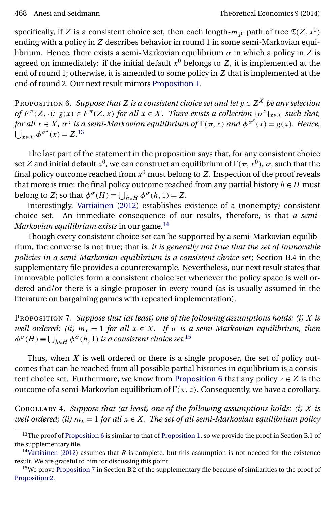<span id="page-23-0"></span>specifically, if Z is a consistent choice set, then each length- $m_{x^0}$  path of tree  $\mathfrak{T}(Z,x^0)$ ending with a policy in Z describes behavior in round 1 in some semi-Markovian equilibrium. Hence, there exists a semi-Markovian equilibrium  $\sigma$  in which a policy in Z is agreed on immediately: if the initial default  $x^0$  belongs to Z, it is implemented at the end of round 1; otherwise, it is amended to some policy in Z that is implemented at the end of round 2. Our next result mirrors [Proposition 1.](#page-9-0)

PROPOSITION 6. *Suppose that* Z *is a consistent choice set and let*  $g \in Z^X$  *be any selection of*  $F^{\pi}(Z, \cdot)$ :  $g(x) \in F^{\pi}(Z, x)$  *for all*  $x \in X$ *. There exists a collection*  $\{\sigma^x\}_{x \in X}$  *such that, for all*  $x \in X$ ,  $\sigma^x$  *is a semi-Markovian equilibrium of*  $\Gamma(\pi, x)$  *and*  $\phi^{\sigma^x}(x) = g(x)$ *. Hence,*  $\bigcup_{x \in X} \phi^{\sigma^x}(x) = Z$ <sup>13</sup>

The last part of the statement in the proposition says that, for any consistent choice set Z and initial default  $x^0$ , we can construct an equilibrium of  $\Gamma(\pi, x^0)$ ,  $\sigma$ , such that the final policy outcome reached from  $x^0$  must belong to Z. Inspection of the proof reveals that more is true: the final policy outcome reached from any partial history  $h \in H$  must belong to Z; so that  $\phi^{\sigma}(H) \equiv \bigcup_{h \in H} \phi^{\sigma}(h, 1) = Z$ .

Interestingly, [Vartiainen](#page-37-0) [\(2012\)](#page-37-0) establishes existence of a (nonempty) consistent choice set. An immediate consequence of our results, therefore, is that *a semi-Markovian equilibrium exists* in our game.<sup>14</sup>

Though every consistent choice set can be supported by a semi-Markovian equilibrium, the converse is not true; that is, *it is generally not true that the set of immovable policies in a semi-Markovian equilibrium is a consistent choice set*; Section B.4 in the supplementary file provides a counterexample. Nevertheless, our next result states that immovable policies form a consistent choice set whenever the policy space is well ordered and/or there is a single proposer in every round (as is usually assumed in the literature on bargaining games with repeated implementation).

Proposition 7. *Suppose that (at least) one of the following assumptions holds: (i)* X *is well ordered; (ii)*  $m_x = 1$  *for all*  $x \in X$ *. If*  $\sigma$  *is a semi-Markovian equilibrium, then*  $\phi^{\sigma}(H) \equiv \bigcup_{h \in H} \phi^{\sigma}(h, 1)$  is a consistent choice set.<sup>15</sup>

Thus, when  $X$  is well ordered or there is a single proposer, the set of policy outcomes that can be reached from all possible partial histories in equilibrium is a consistent choice set. Furthermore, we know from Proposition 6 that any policy  $z \in Z$  is the outcome of a semi-Markovian equilibrium of  $\Gamma(\pi, z)$ . Consequently, we have a corollary.

Corollary 4. *Suppose that (at least) one of the following assumptions holds: (i)* X *is well ordered; (ii)*  $m_x = 1$  *for all*  $x \in X$ *. The set of all semi-Markovian equilibrium policy* 

 $13$ The proof of Proposition 6 is similar to that of [Proposition 1,](#page-9-0) so we provide the proof in Section B.1 of the supplementary file.

<sup>&</sup>lt;sup>14</sup>Vartiainen [\(2012\)](#page-37-0) assumes that R is complete, but this assumption is not needed for the existence result. We are grateful to him for discussing this point.

<sup>&</sup>lt;sup>15</sup>We prove Proposition 7 in Section B.2 of the supplementary file because of similarities to the proof of [Proposition 2.](#page-11-0)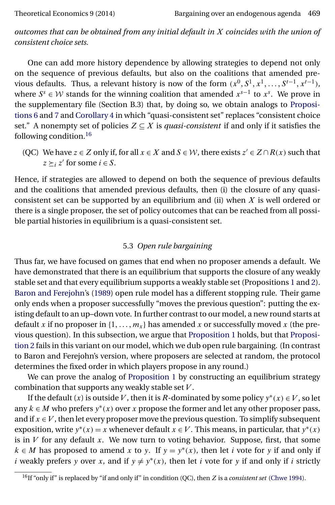<span id="page-24-0"></span>

*outcomes that can be obtained from any initial default in* X *coincides with the union of consistent choice sets.*

One can add more history dependence by allowing strategies to depend not only on the sequence of previous defaults, but also on the coalitions that amended previous defaults. Thus, a relevant history is now of the form  $(x^0, S^1, x^1, \ldots, S^{t-1}, x^{t-1})$ , where  $S^s \in W$  stands for the winning coalition that amended  $x^{s-1}$  to  $x^s$ . We prove in the supplementary file (Section B.3) that, by doing so, we obtain analogs to [Proposi](#page-23-0)[tions 6](#page-23-0) and [7](#page-23-0) and [Corollary 4](#page-23-0) in which "quasi-consistent set" replaces "consistent choice set." A nonempty set of policies  $Z \subseteq X$  is *quasi-consistent* if and only if it satisfies the following condition.16

(QC) We have  $z \in Z$  only if, for all  $x \in X$  and  $S \in \mathcal{W}$ , there exists  $z' \in Z \cap R(x)$  such that  $z \succ_i z'$  for some  $i \in S$ .

Hence, if strategies are allowed to depend on both the sequence of previous defaults and the coalitions that amended previous defaults, then (i) the closure of any quasiconsistent set can be supported by an equilibrium and (ii) when  $X$  is well ordered or there is a single proposer, the set of policy outcomes that can be reached from all possible partial histories in equilibrium is a quasi-consistent set.

## 5.3 *Open rule bargaining*

Thus far, we have focused on games that end when no proposer amends a default. We have demonstrated that there is an equilibrium that supports the closure of any weakly stable set and that every equilibrium supports a weakly stable set (Propositions [1](#page-9-0) and [2\)](#page-11-0). [Baron and Ferejohn'](#page-35-0)s [\(1989\)](#page-35-0) open rule model has a different stopping rule. Their game only ends when a proposer successfully "moves the previous question": putting the existing default to an up–down vote. In further contrast to our model, a new round starts at default x if no proposer in  $\{1, \ldots, m_x\}$  has amended x or successfully moved x (the previous question). In this subsection, we argue that [Proposition 1](#page-9-0) holds, but that [Proposi](#page-11-0)[tion 2](#page-11-0) fails in this variant on our model, which we dub open rule bargaining. (In contrast to Baron and Ferejohn's version, where proposers are selected at random, the protocol determines the fixed order in which players propose in any round.)

We can prove the analog of [Proposition 1](#page-9-0) by constructing an equilibrium strategy combination that supports any weakly stable set  $V$ .

If the default (x) is outside V, then it is R-dominated by some policy  $y^*(x) \in V$ , so let any  $k \in M$  who prefers  $y^*(x)$  over x propose the former and let any other proposer pass, and if  $x \in V$ , then let every proposer move the previous question. To simplify subsequent exposition, write  $y^*(x) = x$  whenever default  $x \in V$ . This means, in particular, that  $y^*(x)$ is in  $V$  for any default x. We now turn to voting behavior. Suppose, first, that some  $k \in M$  has proposed to amend x to y. If  $y = y^*(x)$ , then let i vote for y if and only if *i* weakly prefers y over x, and if  $y \neq y^*(x)$ , then let *i* vote for y if and only if *i* strictly

<sup>16</sup>If "only if" is replaced by "if and only if" in condition (QC), then Z is a *consistent set* [\(Chwe 1994\)](#page-36-0).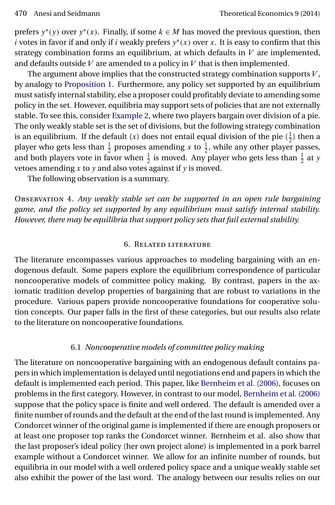<span id="page-25-0"></span>prefers  $y^*(y)$  over  $y^*(x)$ . Finally, if some  $k \in M$  has moved the previous question, then i votes in favor if and only if i weakly prefers  $y^*(x)$  over x. It is easy to confirm that this strategy combination forms an equilibrium, at which defaults in  $V$  are implemented, and defaults outside  $V$  are amended to a policy in  $V$  that is then implemented.

The argument above implies that the constructed strategy combination supports  $V$ , by analogy to [Proposition 1.](#page-9-0) Furthermore, any policy set supported by an equilibrium must satisfy internal stability, else a proposer could profitably deviate to amending some policy in the set. However, equilibria may support sets of policies that are not externally stable. To see this, consider [Example 2,](#page-12-0) where two players bargain over division of a pie. The only weakly stable set is the set of divisions, but the following strategy combination is an equilibrium. If the default (*x*) does not entail equal division of the pie  $(\frac{1}{2})$  then a player who gets less than  $\frac{1}{2}$  proposes amending x to  $\frac{1}{2}$ , while any other player passes, and both players vote in favor when  $\frac{1}{2}$  is moved. Any player who gets less than  $\frac{1}{2}$  at y vetoes amending  $x$  to  $y$  and also votes against if  $y$  is moved.

The following observation is a summary.

Observation 4. *Any weakly stable set can be supported in an open rule bargaining game, and the policy set supported by any equilibrium must satisfy internal stability. However, there may be equilibria that support policy sets that fail external stability.*

#### 6. Related literature

The literature encompasses various approaches to modeling bargaining with an endogenous default. Some papers explore the equilibrium correspondence of particular noncooperative models of committee policy making. By contrast, papers in the axiomatic tradition develop properties of bargaining that are robust to variations in the procedure. Various papers provide noncooperative foundations for cooperative solution concepts. Our paper falls in the first of these categories, but our results also relate to the literature on noncooperative foundations.

## 6.1 *Noncooperative models of committee policy making*

The literature on noncooperative bargaining with an endogenous default contains papers in which implementation is delayed until negotiations end and papers in which the default is implemented each period. This paper, like [Bernheim et al. \(2006\),](#page-36-0) focuses on problems in the first category. However, in contrast to our model, [Bernheim et al. \(2006\)](#page-36-0) suppose that the policy space is finite and well ordered. The default is amended over a finite number of rounds and the default at the end of the last round is implemented. Any Condorcet winner of the original game is implemented if there are enough proposers or at least one proposer top ranks the Condorcet winner. Bernheim et al. also show that the last proposer's ideal policy (her own project alone) is implemented in a pork barrel example without a Condorcet winner. We allow for an infinite number of rounds, but equilibria in our model with a well ordered policy space and a unique weakly stable set also exhibit the power of the last word. The analogy between our results relies on our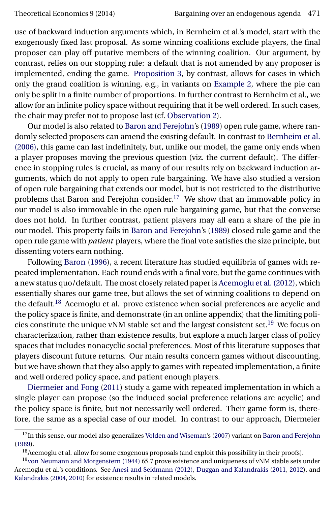<span id="page-26-0"></span>use of backward induction arguments which, in Bernheim et al.'s model, start with the exogenously fixed last proposal. As some winning coalitions exclude players, the final proposer can play off putative members of the winning coalition. Our argument, by contrast, relies on our stopping rule: a default that is not amended by any proposer is implemented, ending the game. [Proposition 3,](#page-15-0) by contrast, allows for cases in which only the grand coalition is winning, e.g., in variants on [Example 2,](#page-12-0) where the pie can only be split in a finite number of proportions. In further contrast to Bernheim et al., we allow for an infinite policy space without requiring that it be well ordered. In such cases, the chair may prefer not to propose last (cf. [Observation 2\)](#page-17-0).

Our model is also related to [Baron and Ferejohn'](#page-35-0)s [\(1989\)](#page-35-0) open rule game, where randomly selected proposers can amend the existing default. In contrast to [Bernheim et al.](#page-36-0) [\(2006\),](#page-36-0) this game can last indefinitely, but, unlike our model, the game only ends when a player proposes moving the previous question (viz. the current default). The difference in stopping rules is crucial, as many of our results rely on backward induction arguments, which do not apply to open rule bargaining. We have also studied a version of open rule bargaining that extends our model, but is not restricted to the distributive problems that Baron and Ferejohn consider.<sup>17</sup> We show that an immovable policy in our model is also immovable in the open rule bargaining game, but that the converse does not hold. In further contrast, patient players may all earn a share of the pie in our model. This property fails in [Baron and Ferejohn'](#page-35-0)s [\(1989\)](#page-35-0) closed rule game and the open rule game with *patient* players, where the final vote satisfies the size principle, but dissenting voters earn nothing.

Following [Baron](#page-35-0) [\(1996\)](#page-35-0), a recent literature has studied equilibria of games with repeated implementation. Each round ends with a final vote, but the game continues with a new status quo/default. The most closely related paper is [Acemoglu et al. \(2012\),](#page-35-0) which essentially shares our game tree, but allows the set of winning coalitions to depend on the default.<sup>18</sup> Acemoglu et al. prove existence when social preferences are acyclic and the policy space is finite, and demonstrate (in an online appendix) that the limiting policies constitute the unique vNM stable set and the largest consistent set.<sup>19</sup> We focus on characterization, rather than existence results, but explore a much larger class of policy spaces that includes nonacyclic social preferences. Most of this literature supposes that players discount future returns. Our main results concern games without discounting, but we have shown that they also apply to games with repeated implementation, a finite and well ordered policy space, and patient enough players.

[Diermeier and Fong](#page-36-0) [\(2011\)](#page-36-0) study a game with repeated implementation in which a single player can propose (so the induced social preference relations are acyclic) and the policy space is finite, but not necessarily well ordered. Their game form is, therefore, the same as a special case of our model. In contrast to our approach, Diermeier

<sup>&</sup>lt;sup>17</sup>In this sense, our model also generalizes [Volden and Wiseman'](#page-37-0)s [\(2007\)](#page-37-0) variant on [Baron and Ferejohn](#page-35-0) [\(1989\)](#page-35-0).

<sup>&</sup>lt;sup>18</sup>Acemoglu et al. allow for some exogenous proposals (and exploit this possibility in their proofs).

<sup>1</sup>[9von Neumann and Morgenstern \(1944\)](#page-37-0) 657 prove existence and uniqueness of vNM stable sets under Acemoglu et al.'s conditions. See [Anesi and Seidmann \(2012\),](#page-35-0) [Duggan and Kalandrakis](#page-36-0) [\(2011,](#page-36-0) [2012\)](#page-36-0), and [Kalandrakis](#page-37-0) [\(2004,](#page-37-0) [2010\)](#page-37-0) for existence results in related models.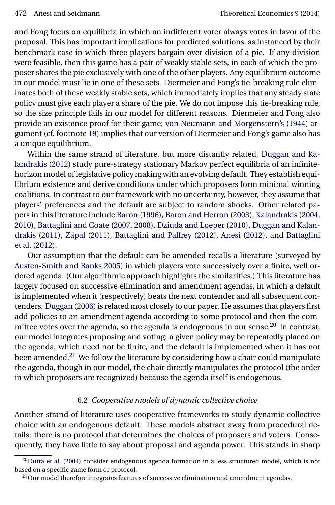<span id="page-27-0"></span>and Fong focus on equilibria in which an indifferent voter always votes in favor of the proposal. This has important implications for predicted solutions, as instanced by their benchmark case in which three players bargain over division of a pie. If any division were feasible, then this game has a pair of weakly stable sets, in each of which the proposer shares the pie exclusively with one of the other players. Any equilibrium outcome in our model must lie in one of these sets. Diermeier and Fong's tie-breaking rule eliminates both of these weakly stable sets, which immediately implies that any steady state policy must give each player a share of the pie. We do not impose this tie-breaking rule, so the size principle fails in our model for different reasons. Diermeier and Fong also provide an existence proof for their game; [von Neumann and Morgenstern'](#page-37-0)s [\(1944\)](#page-37-0) argument (cf. footnote [19\)](#page-26-0) implies that our version of Diermeier and Fong's game also has a unique equilibrium.

Within the same strand of literature, but more distantly related, [Duggan and Ka](#page-36-0)[landrakis](#page-36-0) [\(2012\)](#page-36-0) study pure-strategy stationary Markov perfect equilibria of an infinitehorizon model of legislative policy making with an evolving default. They establish equilibrium existence and derive conditions under which proposers form minimal winning coalitions. In contrast to our framework with no uncertainty, however, they assume that players' preferences and the default are subject to random shocks. Other related papers in this literature include [Baron](#page-35-0) [\(1996\)](#page-35-0), [Baron and Herron](#page-35-0) [\(2003\)](#page-35-0), [Kalandrakis](#page-37-0) [\(2004,](#page-37-0) [2010\)](#page-37-0), [Battaglini and Coate](#page-36-0) [\(2007,](#page-36-0) [2008\)](#page-36-0), [Dziuda and Loeper](#page-36-0) [\(2010\)](#page-36-0), [Duggan and Kalan](#page-36-0)[drakis](#page-36-0) [\(2011\)](#page-36-0), [Zápal](#page-37-0) [\(2011\)](#page-37-0), [Battaglini and Palfrey](#page-36-0) [\(2012\)](#page-36-0), [Anesi \(2012\),](#page-35-0) and [Battaglini](#page-36-0) [et al. \(2012\).](#page-36-0)

Our assumption that the default can be amended recalls a literature (surveyed by [Austen-Smith and Banks 2005\)](#page-35-0) in which players vote successively over a finite, well ordered agenda. (Our algorithmic approach highlights the similarities.) This literature has largely focused on successive elimination and amendment agendas, in which a default is implemented when it (respectively) beats the next contender and all subsequent contenders. [Duggan](#page-36-0) [\(2006\)](#page-36-0) is related most closely to our paper. He assumes that players first add policies to an amendment agenda according to some protocol and then the committee votes over the agenda, so the agenda is endogenous in our sense.<sup>20</sup> In contrast, our model integrates proposing and voting: a given policy may be repeatedly placed on the agenda, which need not be finite, and the default is implemented when it has not been amended.<sup>21</sup> We follow the literature by considering how a chair could manipulate the agenda, though in our model, the chair directly manipulates the protocol (the order in which proposers are recognized) because the agenda itself is endogenous.

## 6.2 *Cooperative models of dynamic collective choice*

Another strand of literature uses cooperative frameworks to study dynamic collective choice with an endogenous default. These models abstract away from procedural details: there is no protocol that determines the choices of proposers and voters. Consequently, they have little to say about proposal and agenda power. This stands in sharp

 $20$ Dutta et al. (2004) consider endogenous agenda formation in a less structured model, which is not based on a specific game form or protocol.

<sup>&</sup>lt;sup>21</sup>Our model therefore integrates features of successive elimination and amendment agendas.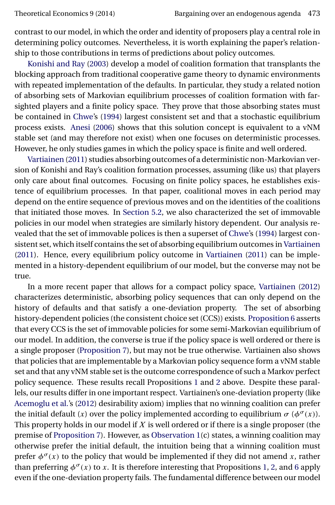<span id="page-28-0"></span>contrast to our model, in which the order and identity of proposers play a central role in determining policy outcomes. Nevertheless, it is worth explaining the paper's relationship to those contributions in terms of predictions about policy outcomes.

[Konishi and Ray](#page-37-0) [\(2003\)](#page-37-0) develop a model of coalition formation that transplants the blocking approach from traditional cooperative game theory to dynamic environments with repeated implementation of the defaults. In particular, they study a related notion of absorbing sets of Markovian equilibrium processes of coalition formation with farsighted players and a finite policy space. They prove that those absorbing states must be contained in [Chwe'](#page-36-0)s [\(1994\)](#page-36-0) largest consistent set and that a stochastic equilibrium process exists. [Anesi](#page-35-0) [\(2006\)](#page-35-0) shows that this solution concept is equivalent to a vNM stable set (and may therefore not exist) when one focuses on deterministic processes. However, he only studies games in which the policy space is finite and well ordered.

[Vartiainen](#page-37-0) [\(2011\)](#page-37-0) studies absorbing outcomes of a deterministic non-Markovian version of Konishi and Ray's coalition formation processes, assuming (like us) that players only care about final outcomes. Focusing on finite policy spaces, he establishes existence of equilibrium processes. In that paper, coalitional moves in each period may depend on the entire sequence of previous moves and on the identities of the coalitions that initiated those moves. In [Section 5.2,](#page-22-0) we also characterized the set of immovable policies in our model when strategies are similarly history dependent. Our analysis revealed that the set of immovable polices is then a superset of [Chwe'](#page-36-0)s [\(1994\)](#page-36-0) largest consistent set, which itself contains the set of absorbing equilibrium outcomes in [Vartiainen](#page-37-0) [\(2011\)](#page-37-0). Hence, every equilibrium policy outcome in [Vartiainen](#page-37-0) [\(2011\)](#page-37-0) can be implemented in a history-dependent equilibrium of our model, but the converse may not be true.

In a more recent paper that allows for a compact policy space, [Vartiainen](#page-37-0) [\(2012\)](#page-37-0) characterizes deterministic, absorbing policy sequences that can only depend on the history of defaults and that satisfy a one-deviation property. The set of absorbing history-dependent policies (the consistent choice set (CCS)) exists. [Proposition 6](#page-23-0) asserts that every CCS is the set of immovable policies for some semi-Markovian equilibrium of our model. In addition, the converse is true if the policy space is well ordered or there is a single proposer [\(Proposition 7\)](#page-23-0), but may not be true otherwise. Vartiainen also shows that policies that are implementable by a Markovian policy sequence form a vNM stable set and that any vNM stable set is the outcome correspondence of such a Markov perfect policy sequence. These results recall Propositions [1](#page-9-0) and [2](#page-11-0) above. Despite these parallels, our results differ in one important respect. Vartiainen's one-deviation property (like [Acemoglu et al.'](#page-35-0)s [\(2012\)](#page-35-0) desirability axiom) implies that no winning coalition can prefer the initial default (x) over the policy implemented according to equilibrium  $\sigma$  ( $\phi^{\sigma}(x)$ ). This property holds in our model if  $X$  is well ordered or if there is a single proposer (the premise of [Proposition 7\)](#page-23-0). However, as [Observation 1\(](#page-14-0)c) states, a winning coalition may otherwise prefer the initial default, the intuition being that a winning coalition must prefer  $\phi^{\sigma}(x)$  to the policy that would be implemented if they did not amend x, rather than preferring  $\phi^{\sigma}(x)$  to x. It is therefore interesting that Propositions [1,](#page-9-0) [2,](#page-11-0) and [6](#page-23-0) apply even if the one-deviation property fails. The fundamental difference between our model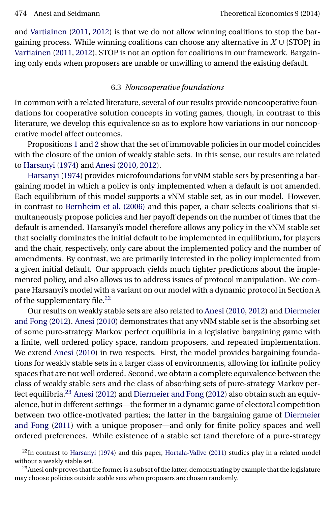<span id="page-29-0"></span>and [Vartiainen](#page-37-0) [\(2011,](#page-37-0) [2012\)](#page-37-0) is that we do not allow winning coalitions to stop the bargaining process. While winning coalitions can choose any alternative in  $X \cup \{STOP \}$  in [Vartiainen](#page-37-0) [\(2011,](#page-37-0) [2012\)](#page-37-0), STOP is not an option for coalitions in our framework. Bargaining only ends when proposers are unable or unwilling to amend the existing default.

# 6.3 *Noncooperative foundations*

In common with a related literature, several of our results provide noncooperative foundations for cooperative solution concepts in voting games, though, in contrast to this literature, we develop this equivalence so as to explore how variations in our noncooperative model affect outcomes.

Propositions [1](#page-9-0) and [2](#page-11-0) show that the set of immovable policies in our model coincides with the closure of the union of weakly stable sets. In this sense, our results are related to [Harsanyi](#page-36-0) [\(1974\)](#page-36-0) and [Anesi](#page-35-0) [\(2010,](#page-35-0) [2012\)](#page-35-0).

[Harsanyi](#page-36-0) [\(1974\)](#page-36-0) provides microfoundations for vNM stable sets by presenting a bargaining model in which a policy is only implemented when a default is not amended. Each equilibrium of this model supports a vNM stable set, as in our model. However, in contrast to [Bernheim et al. \(2006\)](#page-36-0) and this paper, a chair selects coalitions that simultaneously propose policies and her payoff depends on the number of times that the default is amended. Harsanyi's model therefore allows any policy in the vNM stable set that socially dominates the initial default to be implemented in equilibrium, for players and the chair, respectively, only care about the implemented policy and the number of amendments. By contrast, we are primarily interested in the policy implemented from a given initial default. Our approach yields much tighter predictions about the implemented policy, and also allows us to address issues of protocol manipulation. We compare Harsanyi's model with a variant on our model with a dynamic protocol in Section A of the supplementary file. $^{22}$ 

Our results on weakly stable sets are also related to [Anesi](#page-35-0) [\(2010,](#page-35-0) [2012\)](#page-35-0) and [Diermeier](#page-36-0) [and Fong](#page-36-0) [\(2012\)](#page-36-0). [Anesi](#page-35-0) [\(2010\)](#page-35-0) demonstrates that any vNM stable set is the absorbing set of some pure-strategy Markov perfect equilibria in a legislative bargaining game with a finite, well ordered policy space, random proposers, and repeated implementation. We extend [Anesi](#page-35-0) [\(2010\)](#page-35-0) in two respects. First, the model provides bargaining foundations for weakly stable sets in a larger class of environments, allowing for infinite policy spaces that are not well ordered. Second, we obtain a complete equivalence between the class of weakly stable sets and the class of absorbing sets of pure-strategy Markov perfect equilibria.<sup>23</sup> Anesi [\(2012\)](#page-35-0) and [Diermeier and Fong](#page-36-0) [\(2012\)](#page-36-0) also obtain such an equivalence, but in different settings—the former in a dynamic game of electoral competition between two office-motivated parties; the latter in the bargaining game of [Diermeier](#page-36-0) [and Fong](#page-36-0) [\(2011\)](#page-36-0) with a unique proposer—and only for finite policy spaces and well ordered preferences. While existence of a stable set (and therefore of a pure-strategy

<sup>&</sup>lt;sup>22</sup>In contrast to [Harsanyi](#page-36-0) [\(1974\)](#page-36-0) and this paper, [Hortala-Vallve](#page-37-0) [\(2011\)](#page-37-0) studies play in a related model without a weakly stable set.

<sup>&</sup>lt;sup>23</sup> Anesi only proves that the former is a subset of the latter, demonstrating by example that the legislature may choose policies outside stable sets when proposers are chosen randomly.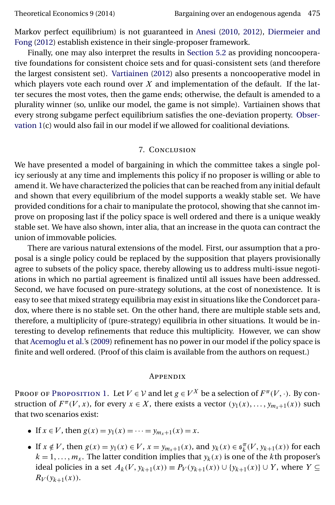<span id="page-30-0"></span>Markov perfect equilibrium) is not guaranteed in [Anesi](#page-35-0) [\(2010,](#page-35-0) [2012\)](#page-35-0), [Diermeier and](#page-36-0) [Fong](#page-36-0) [\(2012\)](#page-36-0) establish existence in their single-proposer framework.

Finally, one may also interpret the results in [Section 5.2](#page-22-0) as providing noncooperative foundations for consistent choice sets and for quasi-consistent sets (and therefore the largest consistent set). [Vartiainen](#page-37-0) [\(2012\)](#page-37-0) also presents a noncooperative model in which players vote each round over  $X$  and implementation of the default. If the latter secures the most votes, then the game ends; otherwise, the default is amended to a plurality winner (so, unlike our model, the game is not simple). Vartiainen shows that every strong subgame perfect equilibrium satisfies the one-deviation property. [Obser](#page-14-0)[vation 1\(](#page-14-0)c) would also fail in our model if we allowed for coalitional deviations.

#### 7. Conclusion

We have presented a model of bargaining in which the committee takes a single policy seriously at any time and implements this policy if no proposer is willing or able to amend it. We have characterized the policies that can be reached from any initial default and shown that every equilibrium of the model supports a weakly stable set. We have provided conditions for a chair to manipulate the protocol, showing that she cannot improve on proposing last if the policy space is well ordered and there is a unique weakly stable set. We have also shown, inter alia, that an increase in the quota can contract the union of immovable policies.

There are various natural extensions of the model. First, our assumption that a proposal is a single policy could be replaced by the supposition that players provisionally agree to subsets of the policy space, thereby allowing us to address multi-issue negotiations in which no partial agreement is finalized until all issues have been addressed. Second, we have focused on pure-strategy solutions, at the cost of nonexistence. It is easy to see that mixed strategy equilibria may exist in situations like the Condorcet paradox, where there is no stable set. On the other hand, there are multiple stable sets and, therefore, a multiplicity of (pure-strategy) equilibria in other situations. It would be interesting to develop refinements that reduce this multiplicity. However, we can show that [Acemoglu et al.'](#page-35-0)s [\(2009\)](#page-35-0) refinement has no power in our model if the policy space is finite and well ordered. (Proof of this claim is available from the authors on request.)

#### **APPENDIX**

Proof of P[roposition](#page-9-0) 1. Let  $V \in V$  and let  $g \in V^X$  be a selection of  $F^\pi(V, \cdot)$ . By construction of  $F^{\pi}(V, x)$ , for every  $x \in X$ , there exists a vector  $(y_1(x), \ldots, y_{m_x+1}(x))$  such that two scenarios exist:

- If  $x \in V$ , then  $g(x) = y_1(x) = \cdots = y_{m_v+1}(x) = x$ .
- If  $x \notin V$ , then  $g(x) = y_1(x) \in V$ ,  $x = y_{m_x+1}(x)$ , and  $y_k(x) \in \mathfrak{s}_k^{\pi}(V, y_{k+1}(x))$  for each  $k = 1, \ldots, m_x$ . The latter condition implies that  $y_k(x)$  is one of the kth proposer's ideal policies in a set  $A_k(V, y_{k+1}(x)) \equiv P_V(y_{k+1}(x)) \cup \{y_{k+1}(x)\} \cup Y$ , where  $Y \subseteq$  $R_V(y_{k+1}(x)).$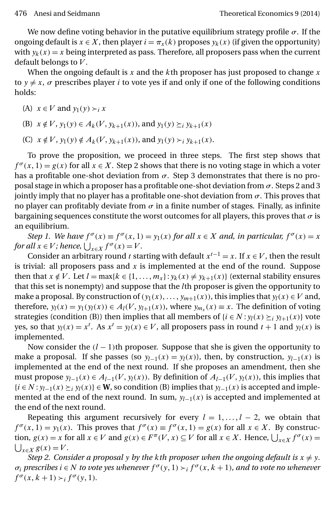We now define voting behavior in the putative equilibrium strategy profile  $\sigma$ . If the ongoing default is  $x \in X$ , then player  $i = \pi_x(k)$  proposes  $y_k(x)$  (if given the opportunity) with  $y_k(x) = x$  being interpreted as pass. Therefore, all proposers pass when the current default belongs to  $V$ .

When the ongoing default is  $x$  and the  $k$ th proposer has just proposed to change  $x$ to  $y \neq x$ ,  $\sigma$  prescribes player *i* to vote yes if and only if one of the following conditions holds:

(A) 
$$
x \in V
$$
 and  $y_1(y) \succ_i x$ 

(B) 
$$
x \notin V
$$
,  $y_1(y) \in A_k(V, y_{k+1}(x))$ , and  $y_1(y) \succeq_i y_{k+1}(x)$ 

(C)  $x \notin V$ ,  $y_1(y) \notin A_k(V, y_{k+1}(x))$ , and  $y_1(y) \succ_i y_{k+1}(x)$ .

To prove the proposition, we proceed in three steps. The first step shows that  $f^{\sigma}(x, 1) = g(x)$  for all  $x \in X$ . Step 2 shows that there is no voting stage in which a voter has a profitable one-shot deviation from  $\sigma$ . Step 3 demonstrates that there is no proposal stage in which a proposer has a profitable one-shot deviation from  $\sigma$ . Steps 2 and 3 jointly imply that no player has a profitable one-shot deviation from  $\sigma$ . This proves that no player can profitably deviate from  $\sigma$  in a finite number of stages. Finally, as infinite bargaining sequences constitute the worst outcomes for all players, this proves that  $\sigma$  is an equilibrium.

*Step 1. We have*  $f^{\sigma}(x) \equiv f^{\sigma}(x, 1) = y_1(x)$  *for all*  $x \in X$  *and, in particular,*  $f^{\sigma}(x) = x$ *for all*  $x \in V$ *; hence,*  $\bigcup_{x \in X} f^{\sigma}(x) = V$ *.* 

Consider an arbitrary round t starting with default  $x^{t-1} = x$ . If  $x \in V$ , then the result is trivial: all proposers pass and  $x$  is implemented at the end of the round. Suppose then that  $x \notin V$ . Let  $l = \max\{k \in \{1, ..., m_x\} : y_k(x) \neq y_{k+1}(x)\}$  (external stability ensures that this set is nonempty) and suppose that the *l*th proposer is given the opportunity to make a proposal. By construction of  $(y_1(x),..., y_{m+1}(x))$ , this implies that  $y_l(x) \in V$  and, therefore,  $y_l(x) = y_1(y_l(x)) \in A_l(V, y_{l+1}(x))$ , where  $y_{m_x}(x) \equiv x$ . The definition of voting strategies (condition (B)) then implies that all members of  $\{i \in N : y_l(x) \geq i y_{l+1}(x)\}$  vote yes, so that  $y_l(x) = x^t$ . As  $x^t = y_l(x) \in V$ , all proposers pass in round  $t + 1$  and  $y_l(x)$  is implemented.

Now consider the  $(l - 1)$ th proposer. Suppose that she is given the opportunity to make a proposal. If she passes (so  $y_{l-1}(x) = y_l(x)$ ), then, by construction,  $y_{l-1}(x)$  is implemented at the end of the next round. If she proposes an amendment, then she must propose  $y_{l-1}(x) \in A_{l-1}(V, y_l(x))$ . By definition of  $A_{l-1}(V, y_l(x))$ , this implies that  ${i \in N : y_{l-1}(x) \geq i y_{l}(x)} \in W$ , so condition (B) implies that  $y_{l-1}(x)$  is accepted and implemented at the end of the next round. In sum,  $y_{l-1}(x)$  is accepted and implemented at the end of the next round.

Repeating this argument recursively for every  $l = 1, ..., l - 2$ , we obtain that  $f^{\sigma}(x, 1) = y_1(x)$ . This proves that  $f^{\sigma}(x) \equiv f^{\sigma}(x, 1) = g(x)$  for all  $x \in X$ . By construction,  $g(x) = x$  for all  $x \in V$  and  $g(x) \in F^{\pi}(V, x) \subseteq V$  for all  $x \in X$ . Hence,  $\bigcup_{x \in X} f^{\sigma}(x) =$  $\bigcup_{x\in X} g(x) = V.$ 

*Step 2. Consider a proposal y by the kth proposer when the ongoing default is*  $x \neq y$ .  $\sigma_i$  prescribes  $i \in N$  to vote yes whenever  $f^{\sigma}(y,1) \succ_i f^{\sigma}(x,k+1)$ , and to vote no whenever  $f^{\sigma}(x, k+1) \succ_i f^{\sigma}(y, 1)$ .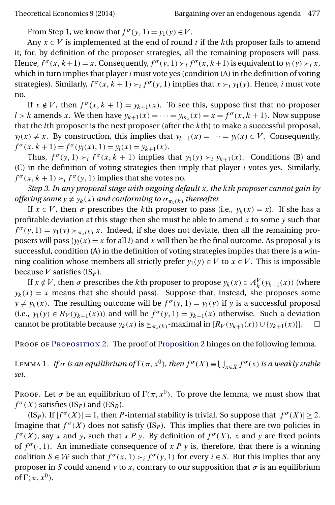<span id="page-32-0"></span>

From Step 1, we know that  $f^{\sigma}(y, 1) = y_1(y) \in V$ .

Any  $x \in V$  is implemented at the end of round t if the kth proposer fails to amend it, for, by definition of the proposer strategies, all the remaining proposers will pass. Hence,  $f^{\sigma}(x, k+1) = x$ . Consequently,  $f^{\sigma}(y, 1) \succ_i f^{\sigma}(x, k+1)$  is equivalent to  $y_1(y) \succ_i x$ , which in turn implies that player  $i$  must vote yes (condition  $(A)$  in the definition of voting strategies). Similarly,  $f^{\sigma}(x, k + 1) \succ_i f^{\sigma}(y, 1)$  implies that  $x \succ_i y_1(y)$ . Hence, *i* must vote no.

If  $x \notin V$ , then  $f^{\sigma}(x, k + 1) = y_{k+1}(x)$ . To see this, suppose first that no proposer  $l > k$  amends x. We then have  $y_{k+1}(x) = \cdots = y_{m_x}(x) = x = f^{\sigma}(x, k+1)$ . Now suppose that the  $l$ th proposer is the next proposer (after the  $k$ th) to make a successful proposal,  $y_l(x) \neq x$ . By construction, this implies that  $y_{k+1}(x) = \cdots = y_l(x) \in V$ . Consequently,  $f^{\sigma}(x, k + 1) = f^{\sigma}(y_l(x), 1) = y_l(x) = y_{k+1}(x).$ 

Thus,  $f^{\sigma}(y,1) \succ_i f^{\sigma}(x,k+1)$  implies that  $y_1(y) \succ_i y_{k+1}(x)$ . Conditions (B) and (C) in the definition of voting strategies then imply that player  $i$  votes yes. Similarly,  $f^{\sigma}(x, k+1) \succ_i f^{\sigma}(y, 1)$  implies that she votes no.

*Step 3. In any proposal stage with ongoing default* x*, the* k*th proposer cannot gain by offering some*  $y \neq y_k(x)$  *and conforming to*  $\sigma_{\pi_k(k)}$  *thereafter.* 

If  $x \in V$ , then  $\sigma$  prescribes the kth proposer to pass (i.e.,  $y_k(x) = x$ ). If she has a profitable deviation at this stage then she must be able to amend  $x$  to some  $y$  such that  $f^{\sigma}(y, 1) = y_1(y) \succ_{\pi_x(k)} x$ . Indeed, if she does not deviate, then all the remaining proposers will pass  $(y_l(x) = x$  for all l) and x will then be the final outcome. As proposal y is successful, condition (A) in the definition of voting strategies implies that there is a winning coalition whose members all strictly prefer  $y_1(y) \in V$  to  $x \in V$ . This is impossible because  $V$  satisfies (IS<sub>*P*</sub>).

If  $x \notin V$ , then  $\sigma$  prescribes the kth proposer to propose  $y_k(x) \in A_k^V(y_{k+1}(x))$  (where  $y_k(x) = x$  means that she should pass). Suppose that, instead, she proposes some  $y \neq y_k(x)$ . The resulting outcome will be  $f^{\sigma}(y, 1) = y_1(y)$  if y is a successful proposal (i.e.,  $y_1(y) \in R_V(y_{k+1}(x))$ ) and will be  $f^{\sigma}(y, 1) = y_{k+1}(x)$  otherwise. Such a deviation cannot be profitable because  $y_k(x)$  is  $\succeq_{\pi_x(k)}$ -maximal in  $[R_V(y_{k+1}(x)) \cup \{y_{k+1}(x)\}]$ .  $\square$ 

PROOF OF PROPOSITION 2. The proof of P[roposition](#page-11-0) 2 hinges on the following lemma.

LEMMA 1. If  $\sigma$  is an equilibrium of  $\Gamma(\pi, x^0)$ , then  $f^\sigma(X) \equiv \bigcup_{x \in X} f^\sigma(x)$  is a weakly stable *set.*

Proof. Let  $\sigma$  be an equilibrium of  $\Gamma(\pi, x^0)$ . To prove the lemma, we must show that  $f^{\sigma}(X)$  satisfies (IS<sub>P</sub>) and (ES<sub>R</sub>).

(IS<sub>P</sub>). If  $|f^{\sigma}(X)| = 1$ , then P-internal stability is trivial. So suppose that  $|f^{\sigma}(X)| \geq 2$ . Imagine that  $f^{\sigma}(X)$  does not satisfy (IS<sub>P</sub>). This implies that there are two policies in  $f^{\sigma}(X)$ , say x and y, such that x P y. By definition of  $f^{\sigma}(X)$ , x and y are fixed points of  $f^{\sigma}(\cdot, 1)$ . An immediate consequence of x P y is, therefore, that there is a winning coalition  $S \in \mathcal{W}$  such that  $f^{\sigma}(x, 1) \succ_i f^{\sigma}(y, 1)$  for every  $i \in S$ . But this implies that any proposer in S could amend y to x, contrary to our supposition that  $\sigma$  is an equilibrium of  $\Gamma(\pi, x^0)$ .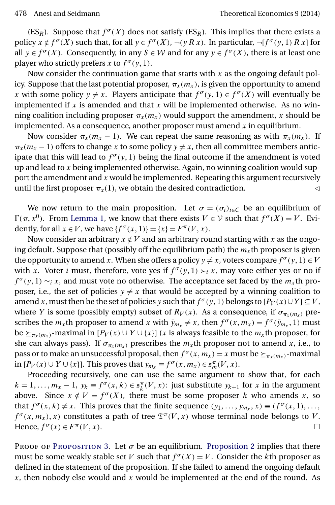(ES<sub>R</sub>). Suppose that  $f^{\sigma}(X)$  does not satisfy (ES<sub>R</sub>). This implies that there exists a policy  $x \notin f^{\sigma}(X)$  such that, for all  $y \in f^{\sigma}(X)$ , ¬ $(y R x)$ . In particular, ¬[ $f^{\sigma}(y, 1) R x$ ] for all  $y \in f^{\sigma}(X)$ . Consequently, in any  $S \in \mathcal{W}$  and for any  $y \in f^{\sigma}(X)$ , there is at least one player who strictly prefers x to  $f^{\sigma}(y, 1)$ .

Now consider the continuation game that starts with  $x$  as the ongoing default policy. Suppose that the last potential proposer,  $\pi_x(m_x)$ , is given the opportunity to amend x with some policy  $y \neq x$ . Players anticipate that  $f^{\sigma}(y, 1) \in f^{\sigma}(X)$  will eventually be implemented if  $x$  is amended and that  $x$  will be implemented otherwise. As no winning coalition including proposer  $\pi_x(m_x)$  would support the amendment, x should be implemented. As a consequence, another proposer must amend  $x$  in equilibrium.

Now consider  $\pi_x(m_x - 1)$ . We can repeat the same reasoning as with  $\pi_x(m_x)$ . If  $\pi_x(m_x - 1)$  offers to change x to some policy  $y \neq x$ , then all committee members anticipate that this will lead to  $f^{\sigma}(y,1)$  being the final outcome if the amendment is voted up and lead to  $x$  being implemented otherwise. Again, no winning coalition would support the amendment and  $x$  would be implemented. Repeating this argument recursively until the first proposer  $\pi_x(1)$ , we obtain the desired contradiction.

We now return to the main proposition. Let  $\sigma = (\sigma_i)_{i \in C}$  be an equilibrium of  $\Gamma(\pi, x^0)$ . From [Lemma 1,](#page-32-0) we know that there exists  $V \in \mathcal{V}$  such that  $f^{\sigma}(X) = V$ . Evidently, for all  $x \in V$ , we have  $\{f^{\sigma}(x, 1)\} = \{x\} = F^{\pi}(V, x)$ .

Now consider an arbitrary  $x \notin V$  and an arbitrary round starting with x as the ongoing default. Suppose that (possibly off the equilibrium path) the  $m<sub>x</sub>$ th proposer is given the opportunity to amend x. When she offers a policy  $y \neq x$ , voters compare  $f^{\sigma}(y, 1) \in V$ with x. Voter *i* must, therefore, vote yes if  $f^{\sigma}(y, 1) \succ_i x$ , may vote either yes or no if  $f^{\sigma}(y,1) \sim_i x$ , and must vote no otherwise. The acceptance set faced by the  $m_x$ th proposer, i.e., the set of policies  $y \neq x$  that would be accepted by a winning coalition to amend x, must then be the set of policies y such that  $f^{\sigma}(y, 1)$  belongs to  $[P_V(x) \cup Y] \subseteq V$ , where Y is some (possibly empty) subset of  $R_V(x)$ . As a consequence, if  $\sigma_{\pi_Y(m_Y)}$  prescribes the  $m_x$ th proposer to amend x with  $\bar{y}_{m_x} \neq x$ , then  $f^{\sigma}(x, m_x) = f^{\sigma}(\bar{y}_{m_x}, 1)$  must be  $\geq_{\pi_x(m_x)}$ -maximal in  $[P_V(x) \cup Y \cup \{x\}]$  (x is always feasible to the  $m_x$ th proposer, for she can always pass). If  $\sigma_{\pi_x(m_x)}$  prescribes the  $m_x$ th proposer not to amend x, i.e., to pass or to make an unsuccessful proposal, then  $f^{\sigma}(x, m_x) = x$  must be  $\geq_{\pi_x(m_x)}$ -maximal in  $[P_V(x) \cup Y \cup \{x\}]$ . This proves that  $y_{m_x} \equiv f^{\sigma}(x, m_x) \in \mathfrak{s}_m^{\pi}(V, x)$ .

Proceeding recursively, one can use the same argument to show that, for each  $k = 1, \ldots, m_x - 1$ ,  $y_k \equiv f^{\sigma}(x, k) \in \mathfrak{s}_k^{\pi}(V, x)$ : just substitute  $y_{k+1}$  for x in the argument above. Since  $x \notin V = f^{\sigma}(X)$ , there must be some proposer k who amends x, so that  $f^{\sigma}(x, k) \neq x$ . This proves that the finite sequence  $(y_1, \ldots, y_{m_x}, x) \equiv (f^{\sigma}(x, 1), \ldots,$  $f^{\sigma}(x, m_x), x$  constitutes a path of tree  $\mathfrak{T}^{\pi}(V, x)$  whose terminal node belongs to V. Hence,  $f^{\sigma}(x) \in F^{\pi}(V, x)$ .  $x$ ).

PROOF OF PROPOSITION 3. Let  $\sigma$  be an equilibrium. P[roposition](#page-15-0) 2 implies that there must be some weakly stable set V such that  $f^{\sigma}(X) = V$ . Consider the kth proposer as defined in the statement of the proposition. If she failed to amend the ongoing default  $x$ , then nobody else would and  $x$  would be implemented at the end of the round. As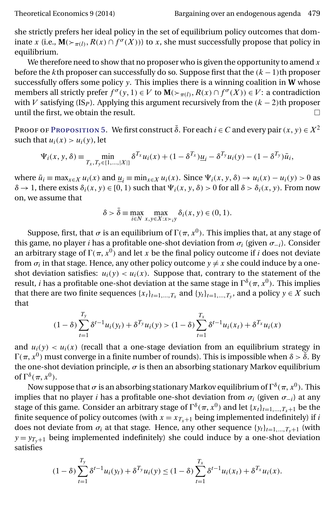she strictly prefers her ideal policy in the set of equilibrium policy outcomes that dominate x (i.e.,  $\mathbf{M}(\succ_{\pi(l)}, R(x) \cap f^{\sigma}(X))$ ) to x, she must successfully propose that policy in equilibrium.

We therefore need to show that no proposer who is given the opportunity to amend  $x$ before the kth proposer can successfully do so. Suppose first that the  $(k - 1)$ th proposer successfully offers some policy y. This implies there is a winning coalition in **W** whose members all strictly prefer  $f^{\sigma}(y, 1) \in V$  to  $\mathbf{M}(\succ_{\pi(l)}, R(x) \cap f^{\sigma}(X)) \in V$ : a contradiction with *V* satisfying (IS<sub>P</sub>). Applying this argument recursively from the  $(k - 2)$ th proposer<br>until the first, we obtain the result until the first, we obtain the result.

Proof of P[roposition](#page-21-0) 5. We first construct  $\bar{\delta}$ . For each  $i \in C$  and every pair  $(x, y) \in X^2$ such that  $u_i(x) > u_i(y)$ , let

$$
\Psi_i(x, y, \delta) \equiv \min_{T_x, T_y \in \{1, ..., |X|\}} \delta^{T_x} u_i(x) + (1 - \delta^{T_x}) \underline{u}_i - \delta^{T_y} u_i(y) - (1 - \delta^{T_y}) \overline{u}_i,
$$

where  $\bar{u}_i \equiv \max_{x \in X} u_i(x)$  and  $\underline{u}_i \equiv \min_{x \in X} u_i(x)$ . Since  $\Psi_i(x, y, \delta) \to u_i(x) - u_i(y) > 0$  as  $\delta \to 1$ , there exists  $\delta_i(x, y) \in [0, 1)$  such that  $\Psi_i(x, y, \delta) > 0$  for all  $\delta > \delta_i(x, y)$ . From now on, we assume that

$$
\delta > \bar{\delta} \equiv \max_{i \in N} \max_{x, y \in X: x > i} \delta_i(x, y) \in (0, 1).
$$

Suppose, first, that  $\sigma$  is an equilibrium of  $\Gamma(\pi,x^0).$  This implies that, at any stage of this game, no player *i* has a profitable one-shot deviation from  $\sigma_i$  (given  $\sigma_{-i}$ ). Consider an arbitrary stage of  $\Gamma(\pi, x^0)$  and let x be the final policy outcome if  $i$  does not deviate from  $\sigma_i$  in that stage. Hence, any other policy outcome  $y \neq x$  she could induce by a oneshot deviation satisfies:  $u_i(y) < u_i(x)$ . Suppose that, contrary to the statement of the result,  $i$  has a profitable one-shot deviation at the same stage in  $\Gamma^\delta(\pi, x^0).$  This implies that there are two finite sequences  $\{x_t\}_{t=1,\ldots,T_x}$  and  $\{y_t\}_{t=1,\ldots,T_y}$ , and a policy  $y \in X$  such that

$$
(1 - \delta) \sum_{t=1}^{T_y} \delta^{t-1} u_i(y_t) + \delta^{T_y} u_i(y) > (1 - \delta) \sum_{t=1}^{T_x} \delta^{t-1} u_i(x_t) + \delta^{T_x} u_i(x)
$$

and  $u_i(y) < u_i(x)$  (recall that a one-stage deviation from an equilibrium strategy in Γ(π,  $x^0$ ) must converge in a finite number of rounds). This is impossible when δ >  $\overline{\delta}$ . By the one-shot deviation principle,  $\sigma$  is then an absorbing stationary Markov equilibrium of  $\Gamma^{\delta}(\pi, x^0)$ .

Now suppose that  $\sigma$  is an absorbing stationary Markov equilibrium of  $\Gamma^\delta(\pi, x^0).$  This implies that no player *i* has a profitable one-shot deviation from  $\sigma_i$  (given  $\sigma_{-i}$ ) at any stage of this game. Consider an arbitrary stage of  $\Gamma^{\delta}(\pi, x^0)$  and let  $\{x_t\}_{t=1,\dots,T_x+1}$  be the finite sequence of policy outcomes (with  $x = x_{T_x+1}$  being implemented indefinitely) if i does not deviate from  $\sigma_i$  at that stage. Hence, any other sequence  $\{y_t\}_{t=1,\dots,T_y+1}$  (with  $y = y_{T_v+1}$  being implemented indefinitely) she could induce by a one-shot deviation satisfies

$$
(1 - \delta) \sum_{t=1}^{T_y} \delta^{t-1} u_i(y_t) + \delta^{T_y} u_i(y) \le (1 - \delta) \sum_{t=1}^{T_x} \delta^{t-1} u_i(x_t) + \delta^{T_x} u_i(x).
$$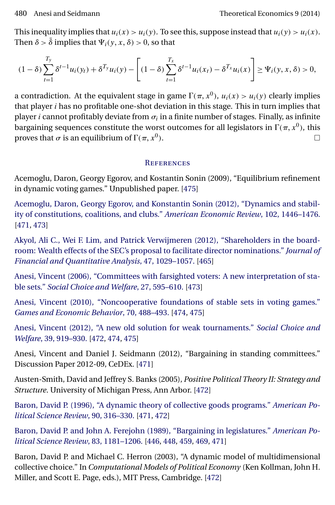<span id="page-35-0"></span>This inequality implies that  $u_i(x) > u_i(y)$ . To see this, suppose instead that  $u_i(y) > u_i(x)$ . Then  $\delta > \bar{\delta}$  implies that  $\Psi_i(y, x, \delta) > 0$ , so that

$$
(1-\delta)\sum_{t=1}^{T_y}\delta^{t-1}u_i(y_t)+\delta^{T_y}u_i(y)-\left[(1-\delta)\sum_{t=1}^{T_x}\delta^{t-1}u_i(x_t)-\delta^{T_x}u_i(x)\right]\geq \Psi_i(y,x,\delta)>0,
$$

a contradiction. At the equivalent stage in game  $\Gamma(\pi, x^0)$ ,  $u_i(x) > u_i(y)$  clearly implies that player  $i$  has no profitable one-shot deviation in this stage. This in turn implies that player *i* cannot profitably deviate from  $\sigma_i$  in a finite number of stages. Finally, as infinite bargaining sequences constitute the worst outcomes for all legislators in  $\Gamma(\pi,x^0),$  this proves that  $\sigma$  is an equilibrium of  $\Gamma(\pi, x^0)$ .  $x^0$ ).

#### **REFERENCES**

Acemoglu, Daron, Georgy Egorov, and Kostantin Sonin (2009), "Equilibrium refinement in dynamic voting games." Unpublished paper. [\[475\]](#page-30-0)

[Acemoglu, Daron, Georgy Egorov, and Konstantin Sonin \(2012\), "Dynamics and stabil](http://www.e-publications.org/srv/te/linkserver/openurl?rft_dat=bib:2/aes12&rfe_id=urn:sici%2F1933-6837%28201405%299%3A2%3C445%3ABOAEA%3E2.0.CO%3B2-C)[ity of constitutions, coalitions, and clubs."](http://www.e-publications.org/srv/te/linkserver/openurl?rft_dat=bib:2/aes12&rfe_id=urn:sici%2F1933-6837%28201405%299%3A2%3C445%3ABOAEA%3E2.0.CO%3B2-C) *American Economic Review*, 102, 1446–1476. [\[471,](#page-26-0) [473\]](#page-28-0)

[Akyol, Ali C., Wei F. Lim, and Patrick Verwijmeren \(2012\), "Shareholders in the board](http://www.e-publications.org/srv/te/linkserver/openurl?rft_dat=bib:3/alv10&rfe_id=urn:sici%2F1933-6837%28201405%299%3A2%3C445%3ABOAEA%3E2.0.CO%3B2-C)[room: Wealth effects of the SEC's proposal to facilitate director nominations."](http://www.e-publications.org/srv/te/linkserver/openurl?rft_dat=bib:3/alv10&rfe_id=urn:sici%2F1933-6837%28201405%299%3A2%3C445%3ABOAEA%3E2.0.CO%3B2-C) *Journal of [Financial and Quantitative Analysis](http://www.e-publications.org/srv/te/linkserver/openurl?rft_dat=bib:3/alv10&rfe_id=urn:sici%2F1933-6837%28201405%299%3A2%3C445%3ABOAEA%3E2.0.CO%3B2-C)*, 47, 1029–1057. [\[465\]](#page-20-0)

[Anesi, Vincent \(2006\), "Committees with farsighted voters: A new interpretation of sta](http://www.e-publications.org/srv/te/linkserver/openurl?rft_dat=bib:4/a06&rfe_id=urn:sici%2F1933-6837%28201405%299%3A2%3C445%3ABOAEA%3E2.0.CO%3B2-C)ble sets." *[Social Choice and Welfare](http://www.e-publications.org/srv/te/linkserver/openurl?rft_dat=bib:4/a06&rfe_id=urn:sici%2F1933-6837%28201405%299%3A2%3C445%3ABOAEA%3E2.0.CO%3B2-C)*, 27, 595–610. [\[473\]](#page-28-0)

[Anesi, Vincent \(2010\), "Noncooperative foundations of stable sets in voting games."](http://www.e-publications.org/srv/te/linkserver/openurl?rft_dat=bib:5/a10&rfe_id=urn:sici%2F1933-6837%28201405%299%3A2%3C445%3ABOAEA%3E2.0.CO%3B2-C) *[Games and Economic Behavior](http://www.e-publications.org/srv/te/linkserver/openurl?rft_dat=bib:5/a10&rfe_id=urn:sici%2F1933-6837%28201405%299%3A2%3C445%3ABOAEA%3E2.0.CO%3B2-C)*, 70, 488–493. [\[474,](#page-29-0) [475\]](#page-30-0)

[Anesi, Vincent \(2012\), "A new old solution for weak tournaments."](http://www.e-publications.org/srv/te/linkserver/openurl?rft_dat=bib:6/a12&rfe_id=urn:sici%2F1933-6837%28201405%299%3A2%3C445%3ABOAEA%3E2.0.CO%3B2-C) *Social Choice and Welfare*[, 39, 919–930.](http://www.e-publications.org/srv/te/linkserver/openurl?rft_dat=bib:6/a12&rfe_id=urn:sici%2F1933-6837%28201405%299%3A2%3C445%3ABOAEA%3E2.0.CO%3B2-C) [\[472,](#page-27-0) [474,](#page-29-0) [475\]](#page-30-0)

Anesi, Vincent and Daniel J. Seidmann (2012), "Bargaining in standing committees." Discussion Paper 2012-09, CeDEx. [\[471\]](#page-26-0)

Austen-Smith, David and Jeffrey S. Banks (2005), *Positive Political Theory II: Strategy and Structure*. University of Michigan Press, Ann Arbor. [\[472\]](#page-27-0)

[Baron, David P. \(1996\), "A dynamic theory of collective goods programs."](http://www.e-publications.org/srv/te/linkserver/openurl?rft_dat=bib:9/b96&rfe_id=urn:sici%2F1933-6837%28201405%299%3A2%3C445%3ABOAEA%3E2.0.CO%3B2-C) *American Po[litical Science Review](http://www.e-publications.org/srv/te/linkserver/openurl?rft_dat=bib:9/b96&rfe_id=urn:sici%2F1933-6837%28201405%299%3A2%3C445%3ABOAEA%3E2.0.CO%3B2-C)*, 90, 316–330. [\[471,](#page-26-0) [472\]](#page-27-0)

[Baron, David P. and John A. Ferejohn \(1989\), "Bargaining in legislatures."](http://www.e-publications.org/srv/te/linkserver/openurl?rft_dat=bib:10/bf89&rfe_id=urn:sici%2F1933-6837%28201405%299%3A2%3C445%3ABOAEA%3E2.0.CO%3B2-C) *American Po[litical Science Review](http://www.e-publications.org/srv/te/linkserver/openurl?rft_dat=bib:10/bf89&rfe_id=urn:sici%2F1933-6837%28201405%299%3A2%3C445%3ABOAEA%3E2.0.CO%3B2-C)*, 83, 1181–1206. [\[446,](#page-1-0) [448,](#page-3-0) [459,](#page-14-0) [469,](#page-24-0) [471\]](#page-26-0)

Baron, David P. and Michael C. Herron (2003), "A dynamic model of multidimensional collective choice." In *Computational Models of Political Economy* (Ken Kollman, John H. Miller, and Scott E. Page, eds.), MIT Press, Cambridge. [\[472\]](#page-27-0)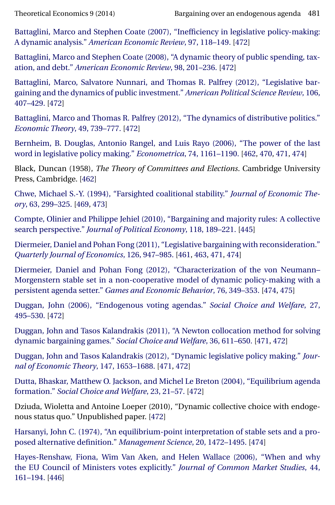<span id="page-36-0"></span>

[Battaglini, Marco and Stephen Coate \(2007\), "Inefficiency in legislative policy-making:](http://www.e-publications.org/srv/te/linkserver/openurl?rft_dat=bib:12/bc07&rfe_id=urn:sici%2F1933-6837%28201405%299%3A2%3C445%3ABOAEA%3E2.0.CO%3B2-C) A dynamic analysis." *[American Economic Review](http://www.e-publications.org/srv/te/linkserver/openurl?rft_dat=bib:12/bc07&rfe_id=urn:sici%2F1933-6837%28201405%299%3A2%3C445%3ABOAEA%3E2.0.CO%3B2-C)*, 97, 118–149. [\[472\]](#page-27-0)

[Battaglini, Marco and Stephen Coate \(2008\), "A dynamic theory of public spending, tax](http://www.e-publications.org/srv/te/linkserver/openurl?rft_dat=bib:13/bc08&rfe_id=urn:sici%2F1933-6837%28201405%299%3A2%3C445%3ABOAEA%3E2.0.CO%3B2-C)ation, and debt." *[American Economic Review](http://www.e-publications.org/srv/te/linkserver/openurl?rft_dat=bib:13/bc08&rfe_id=urn:sici%2F1933-6837%28201405%299%3A2%3C445%3ABOAEA%3E2.0.CO%3B2-C)*, 98, 201–236. [\[472\]](#page-27-0)

[Battaglini, Marco, Salvatore Nunnari, and Thomas R. Palfrey \(2012\), "Legislative bar](http://www.e-publications.org/srv/te/linkserver/openurl?rft_dat=bib:14/bnp12&rfe_id=urn:sici%2F1933-6837%28201405%299%3A2%3C445%3ABOAEA%3E2.0.CO%3B2-C)[gaining and the dynamics of public investment."](http://www.e-publications.org/srv/te/linkserver/openurl?rft_dat=bib:14/bnp12&rfe_id=urn:sici%2F1933-6837%28201405%299%3A2%3C445%3ABOAEA%3E2.0.CO%3B2-C) *American Political Science Review*, 106, [407–429.](http://www.e-publications.org/srv/te/linkserver/openurl?rft_dat=bib:14/bnp12&rfe_id=urn:sici%2F1933-6837%28201405%299%3A2%3C445%3ABOAEA%3E2.0.CO%3B2-C) [\[472\]](#page-27-0)

[Battaglini, Marco and Thomas R. Palfrey \(2012\), "The dynamics of distributive politics."](http://www.e-publications.org/srv/te/linkserver/openurl?rft_dat=bib:15/bp12&rfe_id=urn:sici%2F1933-6837%28201405%299%3A2%3C445%3ABOAEA%3E2.0.CO%3B2-C) *[Economic Theory](http://www.e-publications.org/srv/te/linkserver/openurl?rft_dat=bib:15/bp12&rfe_id=urn:sici%2F1933-6837%28201405%299%3A2%3C445%3ABOAEA%3E2.0.CO%3B2-C)*, 49, 739–777. [\[472\]](#page-27-0)

[Bernheim, B. Douglas, Antonio Rangel, and Luis Rayo \(2006\), "The power of the last](http://www.e-publications.org/srv/te/linkserver/openurl?rft_dat=bib:16/brr06&rfe_id=urn:sici%2F1933-6837%28201405%299%3A2%3C445%3ABOAEA%3E2.0.CO%3B2-C) [word in legislative policy making."](http://www.e-publications.org/srv/te/linkserver/openurl?rft_dat=bib:16/brr06&rfe_id=urn:sici%2F1933-6837%28201405%299%3A2%3C445%3ABOAEA%3E2.0.CO%3B2-C) *Econometrica*, 74, 1161–1190. [\[462,](#page-17-0) [470,](#page-25-0) [471,](#page-26-0) [474\]](#page-29-0)

Black, Duncan (1958), *The Theory of Committees and Elections*. Cambridge University Press, Cambridge. [\[462\]](#page-17-0)

[Chwe, Michael S.-Y. \(1994\), "Farsighted coalitional stability."](http://www.e-publications.org/srv/te/linkserver/openurl?rft_dat=bib:18/c94&rfe_id=urn:sici%2F1933-6837%28201405%299%3A2%3C445%3ABOAEA%3E2.0.CO%3B2-C) *Journal of Economic Theory*[, 63, 299–325.](http://www.e-publications.org/srv/te/linkserver/openurl?rft_dat=bib:18/c94&rfe_id=urn:sici%2F1933-6837%28201405%299%3A2%3C445%3ABOAEA%3E2.0.CO%3B2-C) [\[469,](#page-24-0) [473\]](#page-28-0)

[Compte, Olinier and Philippe Jehiel \(2010\), "Bargaining and majority rules: A collective](http://www.e-publications.org/srv/te/linkserver/openurl?rft_dat=bib:19/cj10&rfe_id=urn:sici%2F1933-6837%28201405%299%3A2%3C445%3ABOAEA%3E2.0.CO%3B2-C) search perspective." *[Journal of Political Economy](http://www.e-publications.org/srv/te/linkserver/openurl?rft_dat=bib:19/cj10&rfe_id=urn:sici%2F1933-6837%28201405%299%3A2%3C445%3ABOAEA%3E2.0.CO%3B2-C)*, 118, 189–221. [\[445\]](#page-0-0)

[Diermeier, Daniel and Pohan Fong \(2011\), "Legislative bargaining with reconsideration."](http://www.e-publications.org/srv/te/linkserver/openurl?rft_dat=bib:20/df11&rfe_id=urn:sici%2F1933-6837%28201405%299%3A2%3C445%3ABOAEA%3E2.0.CO%3B2-C) *[Quarterly Journal of Economics](http://www.e-publications.org/srv/te/linkserver/openurl?rft_dat=bib:20/df11&rfe_id=urn:sici%2F1933-6837%28201405%299%3A2%3C445%3ABOAEA%3E2.0.CO%3B2-C)*, 126, 947–985. [\[461,](#page-16-0) [463,](#page-18-0) [471,](#page-26-0) [474\]](#page-29-0)

[Diermeier, Daniel and Pohan Fong \(2012\), "Characterization of the von Neumann–](http://www.e-publications.org/srv/te/linkserver/openurl?rft_dat=bib:21/df12&rfe_id=urn:sici%2F1933-6837%28201405%299%3A2%3C445%3ABOAEA%3E2.0.CO%3B2-C) [Morgenstern stable set in a non-cooperative model of dynamic policy-making with a](http://www.e-publications.org/srv/te/linkserver/openurl?rft_dat=bib:21/df12&rfe_id=urn:sici%2F1933-6837%28201405%299%3A2%3C445%3ABOAEA%3E2.0.CO%3B2-C) persistent agenda setter." *[Games and Economic Behavior](http://www.e-publications.org/srv/te/linkserver/openurl?rft_dat=bib:21/df12&rfe_id=urn:sici%2F1933-6837%28201405%299%3A2%3C445%3ABOAEA%3E2.0.CO%3B2-C)*, 76, 349–353. [\[474,](#page-29-0) [475\]](#page-30-0)

[Duggan, John \(2006\), "Endogenous voting agendas."](http://www.e-publications.org/srv/te/linkserver/openurl?rft_dat=bib:22/d06&rfe_id=urn:sici%2F1933-6837%28201405%299%3A2%3C445%3ABOAEA%3E2.0.CO%3B2-C) *Social Choice and Welfare*, 27, [495–530.](http://www.e-publications.org/srv/te/linkserver/openurl?rft_dat=bib:22/d06&rfe_id=urn:sici%2F1933-6837%28201405%299%3A2%3C445%3ABOAEA%3E2.0.CO%3B2-C) [\[472\]](#page-27-0)

[Duggan, John and Tasos Kalandrakis \(2011\), "A Newton collocation method for solving](http://www.e-publications.org/srv/te/linkserver/openurl?rft_dat=bib:23/dk11&rfe_id=urn:sici%2F1933-6837%28201405%299%3A2%3C445%3ABOAEA%3E2.0.CO%3B2-C) [dynamic bargaining games."](http://www.e-publications.org/srv/te/linkserver/openurl?rft_dat=bib:23/dk11&rfe_id=urn:sici%2F1933-6837%28201405%299%3A2%3C445%3ABOAEA%3E2.0.CO%3B2-C) *Social Choice and Welfare*, 36, 611–650. [\[471,](#page-26-0) [472\]](#page-27-0)

[Duggan, John and Tasos Kalandrakis \(2012\), "Dynamic legislative policy making."](http://www.e-publications.org/srv/te/linkserver/openurl?rft_dat=bib:24/dk12&rfe_id=urn:sici%2F1933-6837%28201405%299%3A2%3C445%3ABOAEA%3E2.0.CO%3B2-C) *Jour[nal of Economic Theory](http://www.e-publications.org/srv/te/linkserver/openurl?rft_dat=bib:24/dk12&rfe_id=urn:sici%2F1933-6837%28201405%299%3A2%3C445%3ABOAEA%3E2.0.CO%3B2-C)*, 147, 1653–1688. [\[471,](#page-26-0) [472\]](#page-27-0)

[Dutta, Bhaskar, Matthew O. Jackson, and Michel Le Breton \(2004\), "Equilibrium agenda](http://www.e-publications.org/srv/te/linkserver/openurl?rft_dat=bib:25/djb04&rfe_id=urn:sici%2F1933-6837%28201405%299%3A2%3C445%3ABOAEA%3E2.0.CO%3B2-C) formation." *[Social Choice and Welfare](http://www.e-publications.org/srv/te/linkserver/openurl?rft_dat=bib:25/djb04&rfe_id=urn:sici%2F1933-6837%28201405%299%3A2%3C445%3ABOAEA%3E2.0.CO%3B2-C)*, 23, 21–57. [\[472\]](#page-27-0)

Dziuda, Wioletta and Antoine Loeper (2010), "Dynamic collective choice with endogenous status quo." Unpublished paper. [\[472\]](#page-27-0)

[Harsanyi, John C. \(1974\), "An equilibrium-point interpretation of stable sets and a pro](http://www.e-publications.org/srv/te/linkserver/openurl?rft_dat=bib:27/h74&rfe_id=urn:sici%2F1933-6837%28201405%299%3A2%3C445%3ABOAEA%3E2.0.CO%3B2-C)[posed alternative definition."](http://www.e-publications.org/srv/te/linkserver/openurl?rft_dat=bib:27/h74&rfe_id=urn:sici%2F1933-6837%28201405%299%3A2%3C445%3ABOAEA%3E2.0.CO%3B2-C) *Management Science*, 20, 1472–1495. [\[474\]](#page-29-0)

[Hayes-Renshaw, Fiona, Wim Van Aken, and Helen Wallace \(2006\), "When and why](http://www.e-publications.org/srv/te/linkserver/openurl?rft_dat=bib:28/h&rfe_id=urn:sici%2F1933-6837%28201405%299%3A2%3C445%3ABOAEA%3E2.0.CO%3B2-C) [the EU Council of Ministers votes explicitly."](http://www.e-publications.org/srv/te/linkserver/openurl?rft_dat=bib:28/h&rfe_id=urn:sici%2F1933-6837%28201405%299%3A2%3C445%3ABOAEA%3E2.0.CO%3B2-C) *Journal of Common Market Studies*, 44, [161–194.](http://www.e-publications.org/srv/te/linkserver/openurl?rft_dat=bib:28/h&rfe_id=urn:sici%2F1933-6837%28201405%299%3A2%3C445%3ABOAEA%3E2.0.CO%3B2-C) [\[446\]](#page-1-0)